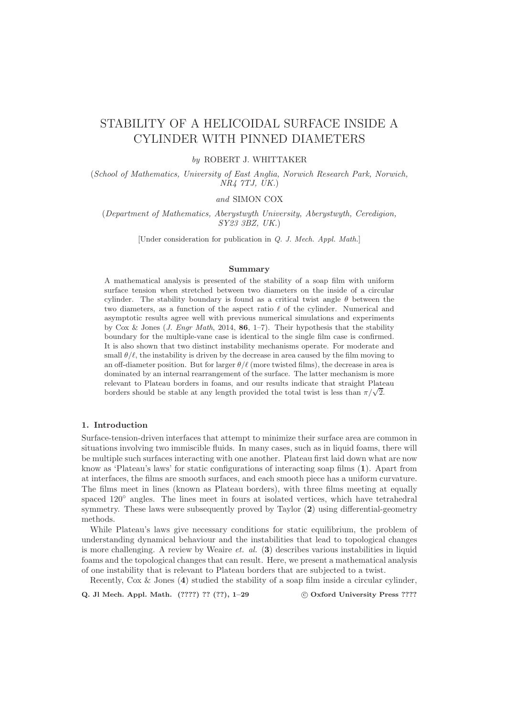# STABILITY OF A HELICOIDAL SURFACE INSIDE A CYLINDER WITH PINNED DIAMETERS

# by ROBERT J. WHITTAKER

(School of Mathematics, University of East Anglia, Norwich Research Park, Norwich, NR4 7TJ, UK.)

# and SIMON COX

(Department of Mathematics, Aberystwyth University, Aberystwyth, Ceredigion, SY23 3BZ, UK.)

[Under consideration for publication in Q. J. Mech. Appl. Math.]

#### Summary

A mathematical analysis is presented of the stability of a soap film with uniform surface tension when stretched between two diameters on the inside of a circular cylinder. The stability boundary is found as a critical twist angle  $\theta$  between the two diameters, as a function of the aspect ratio  $\ell$  of the cylinder. Numerical and asymptotic results agree well with previous numerical simulations and experiments by Cox & Jones (*J. Engr Math*, 2014, **86**, 1-7). Their hypothesis that the stability boundary for the multiple-vane case is identical to the single film case is confirmed. It is also shown that two distinct instability mechanisms operate. For moderate and small  $\theta/\ell$ , the instability is driven by the decrease in area caused by the film moving to an off-diameter position. But for larger  $\theta/\ell$  (more twisted films), the decrease in area is dominated by an internal rearrangement of the surface. The latter mechanism is more relevant to Plateau borders in foams, and our results indicate that straight Plateau borders should be stable at any length provided the total twist is less than  $\pi/\sqrt{2}$ .

# 1. Introduction

Surface-tension-driven interfaces that attempt to minimize their surface area are common in situations involving two immiscible fluids. In many cases, such as in liquid foams, there will be multiple such surfaces interacting with one another. Plateau first laid down what are now know as 'Plateau's laws' for static configurations of interacting soap films (1). Apart from at interfaces, the films are smooth surfaces, and each smooth piece has a uniform curvature. The films meet in lines (known as Plateau borders), with three films meeting at equally spaced  $120°$  angles. The lines meet in fours at isolated vertices, which have tetrahedral symmetry. These laws were subsequently proved by Taylor (2) using differential-geometry methods.

While Plateau's laws give necessary conditions for static equilibrium, the problem of understanding dynamical behaviour and the instabilities that lead to topological changes is more challenging. A review by Weaire *et. al.*  $(3)$  describes various instabilities in liquid foams and the topological changes that can result. Here, we present a mathematical analysis of one instability that is relevant to Plateau borders that are subjected to a twist.

Recently, Cox & Jones (4) studied the stability of a soap film inside a circular cylinder,

Q. Jl Mech. Appl. Math. (????) ?? (??), 1–29 c Oxford University Press ????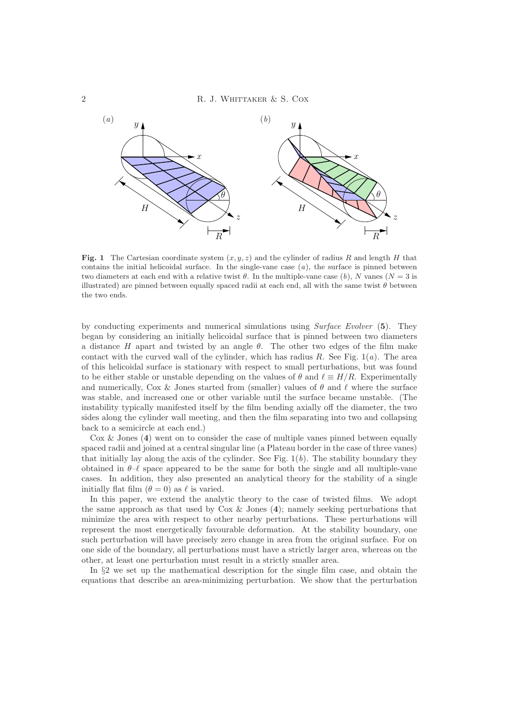

Fig. 1 The Cartesian coordinate system  $(x, y, z)$  and the cylinder of radius R and length H that contains the initial helicoidal surface. In the single-vane case  $(a)$ , the surface is pinned between two diameters at each end with a relative twist  $\theta$ . In the multiple-vane case (b), N vanes (N = 3 is illustrated) are pinned between equally spaced radii at each end, all with the same twist  $\theta$  between the two ends.

by conducting experiments and numerical simulations using Surface Evolver (5). They began by considering an initially helicoidal surface that is pinned between two diameters a distance H apart and twisted by an angle  $\theta$ . The other two edges of the film make contact with the curved wall of the cylinder, which has radius R. See Fig.  $1(a)$ . The area of this helicoidal surface is stationary with respect to small perturbations, but was found to be either stable or unstable depending on the values of  $\theta$  and  $\ell \equiv H/R$ . Experimentally and numerically, Cox & Jones started from (smaller) values of  $\theta$  and  $\ell$  where the surface was stable, and increased one or other variable until the surface became unstable. (The instability typically manifested itself by the film bending axially off the diameter, the two sides along the cylinder wall meeting, and then the film separating into two and collapsing back to a semicircle at each end.)

 $\text{Cox } \&$  Jones (4) went on to consider the case of multiple vanes pinned between equally spaced radii and joined at a central singular line (a Plateau border in the case of three vanes) that initially lay along the axis of the cylinder. See Fig.  $1(b)$ . The stability boundary they obtained in  $\theta-\ell$  space appeared to be the same for both the single and all multiple-vane cases. In addition, they also presented an analytical theory for the stability of a single initially flat film  $(\theta = 0)$  as  $\ell$  is varied.

In this paper, we extend the analytic theory to the case of twisted films. We adopt the same approach as that used by  $Cox \& Jones (4)$ ; namely seeking perturbations that minimize the area with respect to other nearby perturbations. These perturbations will represent the most energetically favourable deformation. At the stability boundary, one such perturbation will have precisely zero change in area from the original surface. For on one side of the boundary, all perturbations must have a strictly larger area, whereas on the other, at least one perturbation must result in a strictly smaller area.

In §2 we set up the mathematical description for the single film case, and obtain the equations that describe an area-minimizing perturbation. We show that the perturbation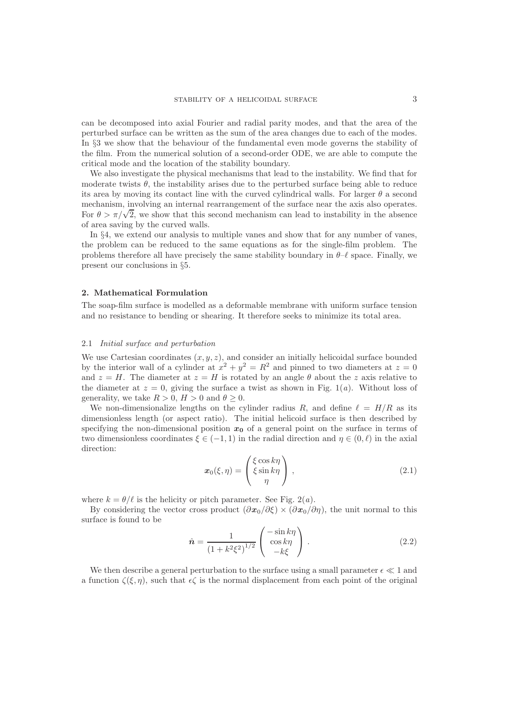can be decomposed into axial Fourier and radial parity modes, and that the area of the perturbed surface can be written as the sum of the area changes due to each of the modes. In §3 we show that the behaviour of the fundamental even mode governs the stability of the film. From the numerical solution of a second-order ODE, we are able to compute the critical mode and the location of the stability boundary.

We also investigate the physical mechanisms that lead to the instability. We find that for moderate twists  $\theta$ , the instability arises due to the perturbed surface being able to reduce its area by moving its contact line with the curved cylindrical walls. For larger  $\theta$  a second mechanism, involving an internal rearrangement of the surface near the axis also operates. For  $\theta > \pi/\sqrt{2}$ , we show that this second mechanism can lead to instability in the absence of area saving by the curved walls.

In §4, we extend our analysis to multiple vanes and show that for any number of vanes, the problem can be reduced to the same equations as for the single-film problem. The problems therefore all have precisely the same stability boundary in  $\theta-\ell$  space. Finally, we present our conclusions in §5.

#### 2. Mathematical Formulation

The soap-film surface is modelled as a deformable membrane with uniform surface tension and no resistance to bending or shearing. It therefore seeks to minimize its total area.

### 2.1 Initial surface and perturbation

We use Cartesian coordinates  $(x, y, z)$ , and consider an initially helicoidal surface bounded by the interior wall of a cylinder at  $x^2 + y^2 = R^2$  and pinned to two diameters at  $z = 0$ and  $z = H$ . The diameter at  $z = H$  is rotated by an angle  $\theta$  about the z axis relative to the diameter at  $z = 0$ , giving the surface a twist as shown in Fig. 1(*a*). Without loss of generality, we take  $R > 0$ ,  $H > 0$  and  $\theta \geq 0$ .

We non-dimensionalize lengths on the cylinder radius R, and define  $\ell = H/R$  as its dimensionless length (or aspect ratio). The initial helicoid surface is then described by specifying the non-dimensional position  $x_0$  of a general point on the surface in terms of two dimensionless coordinates  $\xi \in (-1, 1)$  in the radial direction and  $\eta \in (0, \ell)$  in the axial direction:

$$
\boldsymbol{x}_0(\xi,\eta) = \begin{pmatrix} \xi \cos k\eta \\ \xi \sin k\eta \\ \eta \end{pmatrix}, \qquad (2.1)
$$

where  $k = \theta/\ell$  is the helicity or pitch parameter. See Fig. 2(*a*).

By considering the vector cross product  $(\partial x_0/\partial \xi) \times (\partial x_0/\partial \eta)$ , the unit normal to this surface is found to be

$$
\hat{n} = \frac{1}{\left(1 + k^2 \xi^2\right)^{1/2}} \begin{pmatrix} -\sin k\eta \\ \cos k\eta \\ -k\xi \end{pmatrix} . \tag{2.2}
$$

We then describe a general perturbation to the surface using a small parameter  $\epsilon \ll 1$  and a function  $\zeta(\xi, \eta)$ , such that  $\epsilon \zeta$  is the normal displacement from each point of the original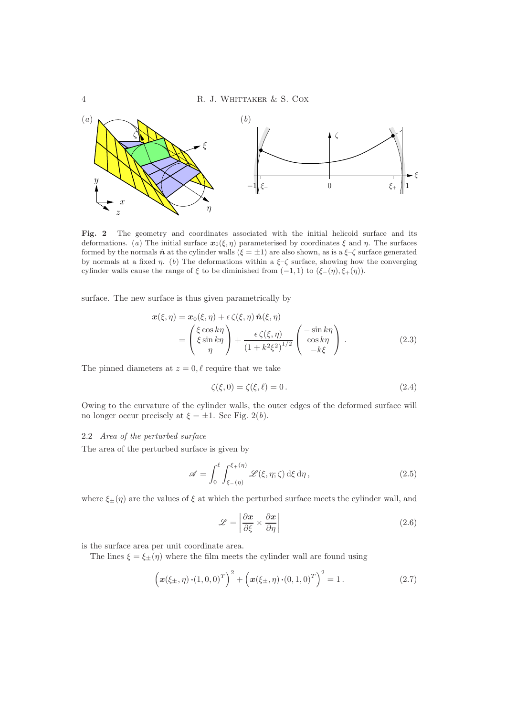

Fig. 2 The geometry and coordinates associated with the initial helicoid surface and its deformations. (a) The initial surface  $x_0(\xi, \eta)$  parameterised by coordinates  $\xi$  and  $\eta$ . The surfaces formed by the normals  $\hat{n}$  at the cylinder walls  $(\xi = \pm 1)$  are also shown, as is a  $\xi - \zeta$  surface generated by normals at a fixed  $\eta$ . (b) The deformations within a  $\xi-\zeta$  surface, showing how the converging cylinder walls cause the range of  $\xi$  to be diminished from  $(-1, 1)$  to  $(\xi-(\eta), \xi+(\eta))$ .

surface. The new surface is thus given parametrically by

$$
\mathbf{x}(\xi,\eta) = \mathbf{x}_0(\xi,\eta) + \epsilon \zeta(\xi,\eta) \hat{\mathbf{n}}(\xi,\eta) \n= \begin{pmatrix} \xi \cos k\eta \\ \xi \sin k\eta \\ \eta \end{pmatrix} + \frac{\epsilon \zeta(\xi,\eta)}{(1 + k^2 \xi^2)^{1/2}} \begin{pmatrix} -\sin k\eta \\ \cos k\eta \\ -k\xi \end{pmatrix} .
$$
\n(2.3)

The pinned diameters at  $z = 0, \ell$  require that we take

$$
\zeta(\xi,0) = \zeta(\xi,\ell) = 0. \tag{2.4}
$$

Owing to the curvature of the cylinder walls, the outer edges of the deformed surface will no longer occur precisely at  $\xi = \pm 1$ . See Fig. 2(b).

# 2.2 Area of the perturbed surface

The area of the perturbed surface is given by

$$
\mathscr{A} = \int_0^\ell \int_{\xi - (\eta)}^{\xi + (\eta)} \mathscr{L}(\xi, \eta; \zeta) \,d\xi \,d\eta , \qquad (2.5)
$$

where  $\xi_{\pm}(\eta)$  are the values of  $\xi$  at which the perturbed surface meets the cylinder wall, and

$$
\mathcal{L} = \left| \frac{\partial x}{\partial \xi} \times \frac{\partial x}{\partial \eta} \right| \tag{2.6}
$$

is the surface area per unit coordinate area.

The lines  $\xi = \xi_{\pm}(\eta)$  where the film meets the cylinder wall are found using

$$
\left(\boldsymbol{x}(\xi_{\pm},\eta)\cdot(1,0,0)^{T}\right)^{2} + \left(\boldsymbol{x}(\xi_{\pm},\eta)\cdot(0,1,0)^{T}\right)^{2} = 1.
$$
 (2.7)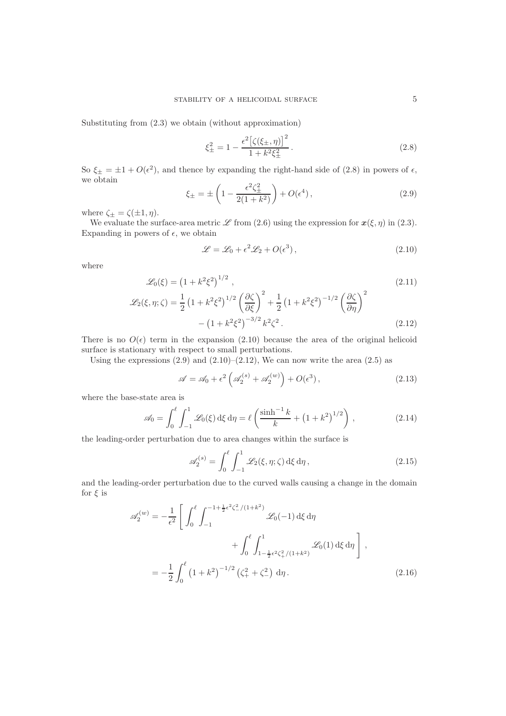Substituting from (2.3) we obtain (without approximation)

$$
\xi_{\pm}^{2} = 1 - \frac{\epsilon^{2} \left[ \zeta(\xi_{\pm}, \eta) \right]^{2}}{1 + k^{2} \xi_{\pm}^{2}}.
$$
\n(2.8)

So  $\xi_{\pm} = \pm 1 + O(\epsilon^2)$ , and thence by expanding the right-hand side of (2.8) in powers of  $\epsilon$ , we obtain

$$
\xi_{\pm} = \pm \left( 1 - \frac{\epsilon^2 \zeta_{\pm}^2}{2(1 + k^2)} \right) + O(\epsilon^4), \tag{2.9}
$$

where  $\zeta_{\pm} = \zeta(\pm 1, \eta)$ .

We evaluate the surface-area metric  $\mathscr L$  from (2.6) using the expression for  $x(\xi, \eta)$  in (2.3). Expanding in powers of  $\epsilon$ , we obtain

$$
\mathcal{L} = \mathcal{L}_0 + \epsilon^2 \mathcal{L}_2 + O(\epsilon^3),\tag{2.10}
$$

where

$$
\mathcal{L}_0(\xi) = \left(1 + k^2 \xi^2\right)^{1/2},\tag{2.11}
$$
\n
$$
\mathcal{L}_2(\xi, \eta; \zeta) = \frac{1}{2} \left(1 + k^2 \xi^2\right)^{1/2} \left(\frac{\partial \zeta}{\partial \xi}\right)^2 + \frac{1}{2} \left(1 + k^2 \xi^2\right)^{-1/2} \left(\frac{\partial \zeta}{\partial \eta}\right)^2
$$
\n
$$
- \left(1 + k^2 \xi^2\right)^{-3/2} k^2 \zeta^2.
$$
\n
$$
(2.12)
$$

There is no  $O(\epsilon)$  term in the expansion (2.10) because the area of the original helicoid surface is stationary with respect to small perturbations.

Using the expressions  $(2.9)$  and  $(2.10)$ – $(2.12)$ , We can now write the area  $(2.5)$  as

$$
\mathscr{A} = \mathscr{A}_0 + \epsilon^2 \left( \mathscr{A}_2^{(s)} + \mathscr{A}_2^{(w)} \right) + O(\epsilon^3), \tag{2.13}
$$

where the base-state area is

$$
\mathscr{A}_0 = \int_0^\ell \int_{-1}^1 \mathscr{L}_0(\xi) \,d\xi \,d\eta = \ell \left( \frac{\sinh^{-1} k}{k} + \left( 1 + k^2 \right)^{1/2} \right),\tag{2.14}
$$

the leading-order perturbation due to area changes within the surface is

$$
\mathscr{A}_2^{(s)} = \int_0^\ell \int_{-1}^1 \mathscr{L}_2(\xi, \eta; \zeta) \,d\xi \,d\eta, \qquad (2.15)
$$

and the leading-order perturbation due to the curved walls causing a change in the domain for  $\xi$  is

$$
\mathscr{A}_{2}^{(w)} = -\frac{1}{\epsilon^{2}} \left[ \int_{0}^{\ell} \int_{-1}^{-1 + \frac{1}{2}\epsilon^{2}\zeta_{-}^{2}/(1+k^{2})} \mathscr{L}_{0}(-1) \,d\xi \,d\eta + \int_{0}^{\ell} \int_{1 - \frac{1}{2}\epsilon^{2}\zeta_{+}^{2}/(1+k^{2})}^{1} \mathscr{L}_{0}(1) \,d\xi \,d\eta \right],
$$
  

$$
= -\frac{1}{2} \int_{0}^{\ell} \left(1 + k^{2}\right)^{-1/2} \left(\zeta_{+}^{2} + \zeta_{-}^{2}\right) \,d\eta.
$$
 (2.16)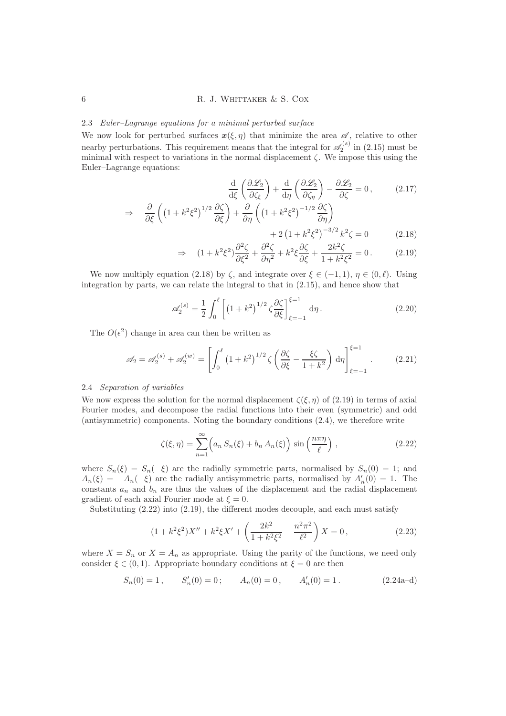# 2.3 Euler–Lagrange equations for a minimal perturbed surface

We now look for perturbed surfaces  $x(\xi, \eta)$  that minimize the area  $\mathscr{A}$ , relative to other nearby perturbations. This requirement means that the integral for  $\mathscr{A}_2^{(s)}$  in (2.15) must be minimal with respect to variations in the normal displacement  $\zeta$ . We impose this using the Euler–Lagrange equations:

$$
\frac{\mathrm{d}}{\mathrm{d}\xi} \left( \frac{\partial \mathcal{L}_2}{\partial \zeta_{\xi}} \right) + \frac{\mathrm{d}}{\mathrm{d}\eta} \left( \frac{\partial \mathcal{L}_2}{\partial \zeta_{\eta}} \right) - \frac{\partial \mathcal{L}_2}{\partial \zeta} = 0, \qquad (2.17)
$$

$$
\frac{\partial}{\partial \xi} \left( \left( 1 + k^2 \xi^2 \right)^{1/2} \frac{\partial \zeta}{\partial \xi} \right) + \frac{\partial}{\partial \eta} \left( \left( 1 + k^2 \xi^2 \right)^{-1/2} \frac{\partial \zeta}{\partial \eta} \right)
$$

$$
log 7 = 2(1 + k^2 \xi^2)^{-3/2} k^2 \zeta = 0
$$
 (2.18)

$$
\Rightarrow (1 + k^2 \xi^2) \frac{\partial^2 \zeta}{\partial \xi^2} + \frac{\partial^2 \zeta}{\partial \eta^2} + k^2 \xi \frac{\partial \zeta}{\partial \xi} + \frac{2k^2 \zeta}{1 + k^2 \xi^2} = 0. \tag{2.19}
$$

We now multiply equation (2.18) by  $\zeta$ , and integrate over  $\xi \in (-1,1)$ ,  $\eta \in (0,\ell)$ . Using integration by parts, we can relate the integral to that in (2.15), and hence show that

$$
\mathscr{A}_2^{(s)} = \frac{1}{2} \int_0^\ell \left[ \left( 1 + k^2 \right)^{1/2} \zeta \frac{\partial \zeta}{\partial \xi} \right]_{\xi = -1}^{\xi = 1} d\eta \,. \tag{2.20}
$$

The  $O(\epsilon^2)$  change in area can then be written as

$$
\mathscr{A}_2 = \mathscr{A}_2^{(s)} + \mathscr{A}_2^{(w)} = \left[ \int_0^\ell \left( 1 + k^2 \right)^{1/2} \zeta \left( \frac{\partial \zeta}{\partial \xi} - \frac{\xi \zeta}{1 + k^2} \right) d\eta \right]_{\xi = -1}^{\xi = 1} . \tag{2.21}
$$

# 2.4 Separation of variables

⇒

We now express the solution for the normal displacement  $\zeta(\xi, \eta)$  of (2.19) in terms of axial Fourier modes, and decompose the radial functions into their even (symmetric) and odd (antisymmetric) components. Noting the boundary conditions (2.4), we therefore write

$$
\zeta(\xi,\eta) = \sum_{n=1}^{\infty} \left( a_n S_n(\xi) + b_n A_n(\xi) \right) \sin\left(\frac{n\pi\eta}{\ell}\right), \qquad (2.22)
$$

where  $S_n(\xi) = S_n(-\xi)$  are the radially symmetric parts, normalised by  $S_n(0) = 1$ ; and  $A_n(\xi) = -A_n(-\xi)$  are the radially antisymmetric parts, normalised by  $A'_n(0) = 1$ . The constants  $a_n$  and  $b_n$  are thus the values of the displacement and the radial displacement gradient of each axial Fourier mode at  $\xi = 0$ .

Substituting (2.22) into (2.19), the different modes decouple, and each must satisfy

$$
(1 + k^2 \xi^2) X'' + k^2 \xi X' + \left(\frac{2k^2}{1 + k^2 \xi^2} - \frac{n^2 \pi^2}{\ell^2}\right) X = 0,
$$
\n(2.23)

where  $X = S_n$  or  $X = A_n$  as appropriate. Using the parity of the functions, we need only consider  $\xi \in (0, 1)$ . Appropriate boundary conditions at  $\xi = 0$  are then

$$
S_n(0) = 1
$$
,  $S'_n(0) = 0$ ;  $A_n(0) = 0$ ,  $A'_n(0) = 1$ . 
$$
(2.24a-d)
$$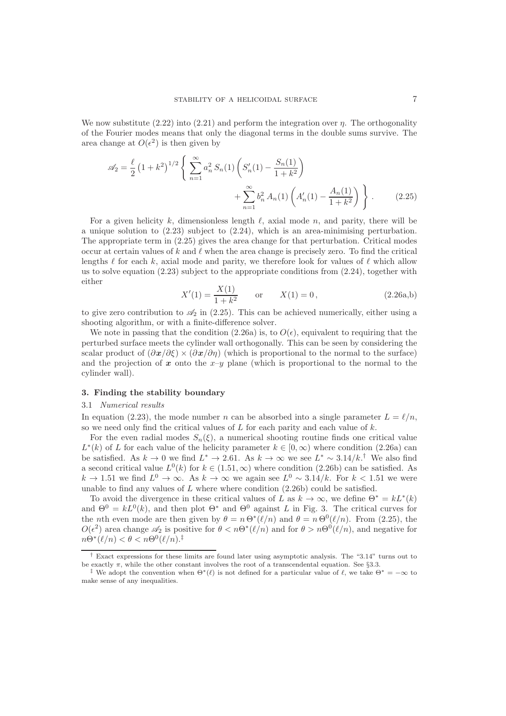We now substitute  $(2.22)$  into  $(2.21)$  and perform the integration over  $\eta$ . The orthogonality of the Fourier modes means that only the diagonal terms in the double sums survive. The area change at  $O(\epsilon^2)$  is then given by

$$
\mathscr{A}_2 = \frac{\ell}{2} \left( 1 + k^2 \right)^{1/2} \left\{ \sum_{n=1}^{\infty} a_n^2 S_n(1) \left( S_n'(1) - \frac{S_n(1)}{1 + k^2} \right) + \sum_{n=1}^{\infty} b_n^2 A_n(1) \left( A_n'(1) - \frac{A_n(1)}{1 + k^2} \right) \right\}.
$$
 (2.25)

For a given helicity k, dimensionless length  $\ell$ , axial mode n, and parity, there will be a unique solution to  $(2.23)$  subject to  $(2.24)$ , which is an area-minimising perturbation. The appropriate term in (2.25) gives the area change for that perturbation. Critical modes occur at certain values of k and  $\ell$  when the area change is precisely zero. To find the critical lengths  $\ell$  for each k, axial mode and parity, we therefore look for values of  $\ell$  which allow us to solve equation  $(2.23)$  subject to the appropriate conditions from  $(2.24)$ , together with either

$$
X'(1) = \frac{X(1)}{1 + k^2} \qquad \text{or} \qquad X(1) = 0, \tag{2.26a,b}
$$

to give zero contribution to  $\mathscr{A}_2$  in (2.25). This can be achieved numerically, either using a shooting algorithm, or with a finite-difference solver.

We note in passing that the condition (2.26a) is, to  $O(\epsilon)$ , equivalent to requiring that the perturbed surface meets the cylinder wall orthogonally. This can be seen by considering the scalar product of  $(\partial x/\partial \xi) \times (\partial x/\partial \eta)$  (which is proportional to the normal to the surface) and the projection of x onto the  $x-y$  plane (which is proportional to the normal to the cylinder wall).

#### 3. Finding the stability boundary

#### 3.1 Numerical results

In equation (2.23), the mode number n can be absorbed into a single parameter  $L = \ell/n$ , so we need only find the critical values of  $L$  for each parity and each value of  $k$ .

For the even radial modes  $S_n(\xi)$ , a numerical shooting routine finds one critical value  $L^*(k)$  of L for each value of the helicity parameter  $k \in [0, \infty)$  where condition (2.26a) can be satisfied. As  $k \to 0$  we find  $L^* \to 2.61$ . As  $k \to \infty$  we see  $L^* \sim 3.14/k$ .<sup>†</sup> We also find a second critical value  $L^0(k)$  for  $k \in (1.51, \infty)$  where condition  $(2.26b)$  can be satisfied. As  $k \to 1.51$  we find  $L^0 \to \infty$ . As  $k \to \infty$  we again see  $L^0 \sim 3.14/k$ . For  $k < 1.51$  we were unable to find any values of  $L$  where where condition  $(2.26b)$  could be satisfied.

To avoid the divergence in these critical values of L as  $k \to \infty$ , we define  $\Theta^* = kL^*(k)$ and  $\Theta^0 = kL^0(k)$ , and then plot  $\Theta^*$  and  $\Theta^0$  against L in Fig. 3. The critical curves for the *n*th even mode are then given by  $\theta = n \Theta^*(\ell/n)$  and  $\theta = n \Theta^0(\ell/n)$ . From (2.25), the  $O(\epsilon^2)$  area change  $\mathscr{A}_2$  is positive for  $\theta < n\Theta^*(\ell/n)$  and for  $\theta > n\Theta^0(\ell/n)$ , and negative for  $n\Theta^*(\ell/n) < \theta < n\Theta^0(\ell/n).^{\ddagger}$ 

<sup>†</sup> Exact expressions for these limits are found later using asymptotic analysis. The "3.14" turns out to be exactly  $\pi$ , while the other constant involves the root of a transcendental equation. See §3.3.

<sup>&</sup>lt;sup>‡</sup> We adopt the convention when  $\Theta^*(\ell)$  is not defined for a particular value of  $\ell$ , we take  $\Theta^* = -\infty$  to make sense of any inequalities.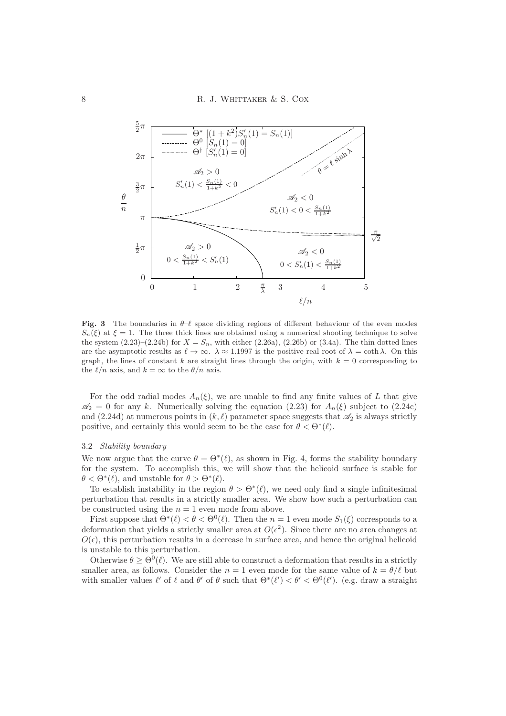

Fig. 3 The boundaries in  $\theta-\ell$  space dividing regions of different behaviour of the even modes  $S_n(\xi)$  at  $\xi = 1$ . The three thick lines are obtained using a numerical shooting technique to solve the system  $(2.23)-(2.24b)$  for  $X = S_n$ , with either  $(2.26a)$ ,  $(2.26b)$  or  $(3.4a)$ . The thin dotted lines are the asymptotic results as  $\ell \to \infty$ .  $\lambda \approx 1.1997$  is the positive real root of  $\lambda = \coth \lambda$ . On this graph, the lines of constant k are straight lines through the origin, with  $k = 0$  corresponding to the  $\ell/n$  axis, and  $k = \infty$  to the  $\theta/n$  axis.

For the odd radial modes  $A_n(\xi)$ , we are unable to find any finite values of L that give  $\mathscr{A}_2 = 0$  for any k. Numerically solving the equation (2.23) for  $A_n(\xi)$  subject to (2.24c) and (2.24d) at numerous points in  $(k, \ell)$  parameter space suggests that  $\mathscr{A}_2$  is always strictly positive, and certainly this would seem to be the case for  $\theta < \Theta^*(\ell)$ .

### 3.2 Stability boundary

We now argue that the curve  $\theta = \Theta^*(\ell)$ , as shown in Fig. 4, forms the stability boundary for the system. To accomplish this, we will show that the helicoid surface is stable for  $\theta < \Theta^*(\ell)$ , and unstable for  $\theta > \Theta^*(\ell)$ .

To establish instability in the region  $\theta > \Theta^*(\ell)$ , we need only find a single infinitesimal perturbation that results in a strictly smaller area. We show how such a perturbation can be constructed using the  $n = 1$  even mode from above.

First suppose that  $\Theta^*(\ell) < \theta < \Theta^0(\ell)$ . Then the  $n = 1$  even mode  $S_1(\xi)$  corresponds to a deformation that yields a strictly smaller area at  $O(\epsilon^2)$ . Since there are no area changes at  $O(\epsilon)$ , this perturbation results in a decrease in surface area, and hence the original helicoid is unstable to this perturbation.

Otherwise  $\theta \geq \Theta^0(\ell)$ . We are still able to construct a deformation that results in a strictly smaller area, as follows. Consider the  $n = 1$  even mode for the same value of  $k = \theta/\ell$  but with smaller values  $\ell'$  of  $\ell$  and  $\theta'$  of  $\theta$  such that  $\Theta^*(\ell') < \theta' < \Theta^0(\ell')$ . (e.g. draw a straight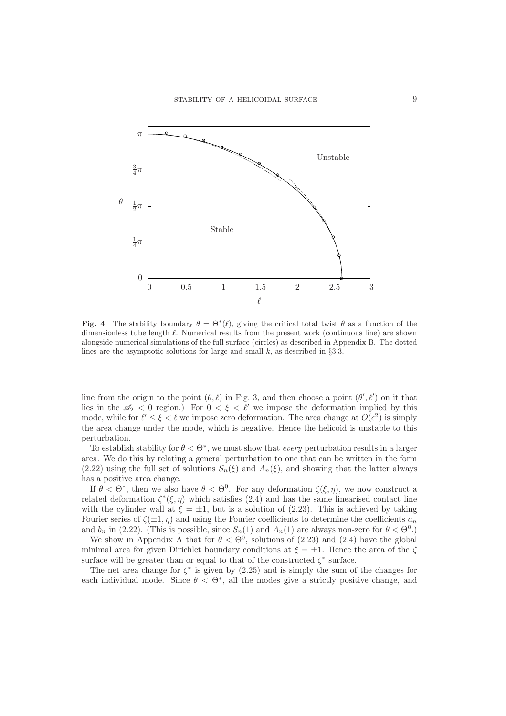

Fig. 4 The stability boundary  $\theta = \Theta^*(\ell)$ , giving the critical total twist  $\theta$  as a function of the dimensionless tube length ℓ. Numerical results from the present work (continuous line) are shown alongside numerical simulations of the full surface (circles) as described in Appendix B. The dotted lines are the asymptotic solutions for large and small  $k$ , as described in §3.3.

line from the origin to the point  $(\theta, \ell)$  in Fig. 3, and then choose a point  $(\theta', \ell')$  on it that lies in the  $\mathscr{A}_2$  < 0 region.) For  $0 < \xi < \ell'$  we impose the deformation implied by this mode, while for  $\ell' \leq \xi < \ell$  we impose zero deformation. The area change at  $O(\epsilon^2)$  is simply the area change under the mode, which is negative. Hence the helicoid is unstable to this perturbation.

To establish stability for  $\theta < \Theta^*$ , we must show that *every* perturbation results in a larger area. We do this by relating a general perturbation to one that can be written in the form (2.22) using the full set of solutions  $S_n(\xi)$  and  $A_n(\xi)$ , and showing that the latter always has a positive area change.

If  $\theta < \Theta^*$ , then we also have  $\theta < \Theta^0$ . For any deformation  $\zeta(\xi, \eta)$ , we now construct a related deformation  $\zeta^*(\xi, \eta)$  which satisfies (2.4) and has the same linearised contact line with the cylinder wall at  $\xi = \pm 1$ , but is a solution of (2.23). This is achieved by taking Fourier series of  $\zeta(\pm 1, \eta)$  and using the Fourier coefficients to determine the coefficients  $a_n$ and  $b_n$  in (2.22). (This is possible, since  $S_n(1)$  and  $A_n(1)$  are always non-zero for  $\theta < \Theta^0$ .)

We show in Appendix A that for  $\theta < \Theta^0$ , solutions of (2.23) and (2.4) have the global minimal area for given Dirichlet boundary conditions at  $\xi = \pm 1$ . Hence the area of the  $\zeta$ surface will be greater than or equal to that of the constructed  $\zeta^*$  surface.

The net area change for  $\zeta^*$  is given by (2.25) and is simply the sum of the changes for each individual mode. Since  $\theta < \Theta^*$ , all the modes give a strictly positive change, and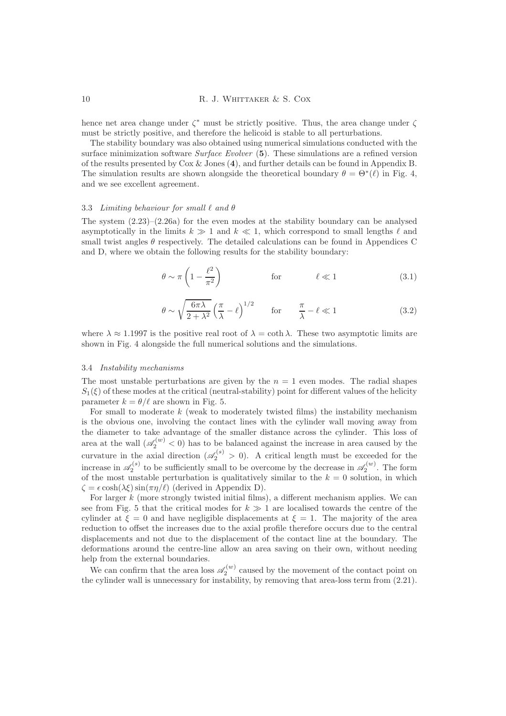hence net area change under  $\zeta^*$  must be strictly positive. Thus, the area change under  $\zeta$ must be strictly positive, and therefore the helicoid is stable to all perturbations.

The stability boundary was also obtained using numerical simulations conducted with the surface minimization software Surface Evolver (5). These simulations are a refined version of the results presented by Cox & Jones (4), and further details can be found in Appendix B. The simulation results are shown alongside the theoretical boundary  $\theta = \Theta^*(\ell)$  in Fig. 4, and we see excellent agreement.

#### 3.3 Limiting behaviour for small  $\ell$  and  $\theta$

The system  $(2.23)$ – $(2.26a)$  for the even modes at the stability boundary can be analysed asymptotically in the limits  $k \geq 1$  and  $k \ll 1$ , which correspond to small lengths  $\ell$  and small twist angles  $\theta$  respectively. The detailed calculations can be found in Appendices C and D, where we obtain the following results for the stability boundary:

$$
\theta \sim \pi \left( 1 - \frac{\ell^2}{\pi^2} \right) \qquad \qquad \text{for} \qquad \qquad \ell \ll 1 \qquad (3.1)
$$

$$
\theta \sim \sqrt{\frac{6\pi\lambda}{2+\lambda^2}} \left(\frac{\pi}{\lambda} - \ell\right)^{1/2} \quad \text{for} \quad \frac{\pi}{\lambda} - \ell \ll 1 \tag{3.2}
$$

where  $\lambda \approx 1.1997$  is the positive real root of  $\lambda = \coth \lambda$ . These two asymptotic limits are shown in Fig. 4 alongside the full numerical solutions and the simulations.

#### 3.4 Instability mechanisms

The most unstable perturbations are given by the  $n = 1$  even modes. The radial shapes  $S_1(\xi)$  of these modes at the critical (neutral-stability) point for different values of the helicity parameter  $k = \theta/\ell$  are shown in Fig. 5.

For small to moderate  $k$  (weak to moderately twisted films) the instability mechanism is the obvious one, involving the contact lines with the cylinder wall moving away from the diameter to take advantage of the smaller distance across the cylinder. This loss of area at the wall  $(\mathscr{A}_2^{(w)} < 0)$  has to be balanced against the increase in area caused by the curvature in the axial direction  $(\mathscr{A}_2^{(s)} > 0)$ . A critical length must be exceeded for the increase in  $\mathscr{A}_2^{(s)}$  to be sufficiently small to be overcome by the decrease in  $\mathscr{A}_2^{(w)}$ . The form of the most unstable perturbation is qualitatively similar to the  $k = 0$  solution, in which  $\zeta = \epsilon \cosh(\lambda \xi) \sin(\pi \eta/\ell)$  (derived in Appendix D).

For larger k (more strongly twisted initial films), a different mechanism applies. We can see from Fig. 5 that the critical modes for  $k \geq 1$  are localised towards the centre of the cylinder at  $\xi = 0$  and have negligible displacements at  $\xi = 1$ . The majority of the area reduction to offset the increases due to the axial profile therefore occurs due to the central displacements and not due to the displacement of the contact line at the boundary. The deformations around the centre-line allow an area saving on their own, without needing help from the external boundaries.

We can confirm that the area loss  $\mathscr{A}_2^{(w)}$  caused by the movement of the contact point on the cylinder wall is unnecessary for instability, by removing that area-loss term from (2.21).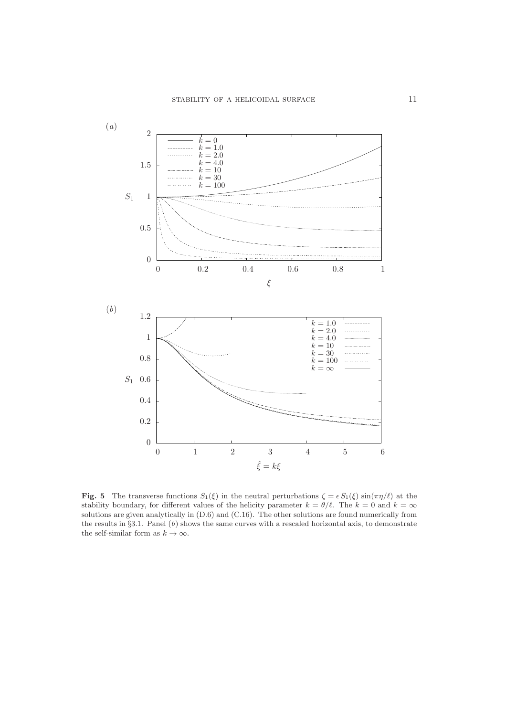

**Fig. 5** The transverse functions  $S_1(\xi)$  in the neutral perturbations  $\zeta = \epsilon S_1(\xi) \sin(\pi \eta/\ell)$  at the stability boundary, for different values of the helicity parameter  $k = \theta/\ell$ . The  $k = 0$  and  $k = \infty$ solutions are given analytically in (D.6) and (C.16). The other solutions are found numerically from the results in  $\S 3.1$ . Panel  $(b)$  shows the same curves with a rescaled horizontal axis, to demonstrate the self-similar form as  $k\to\infty.$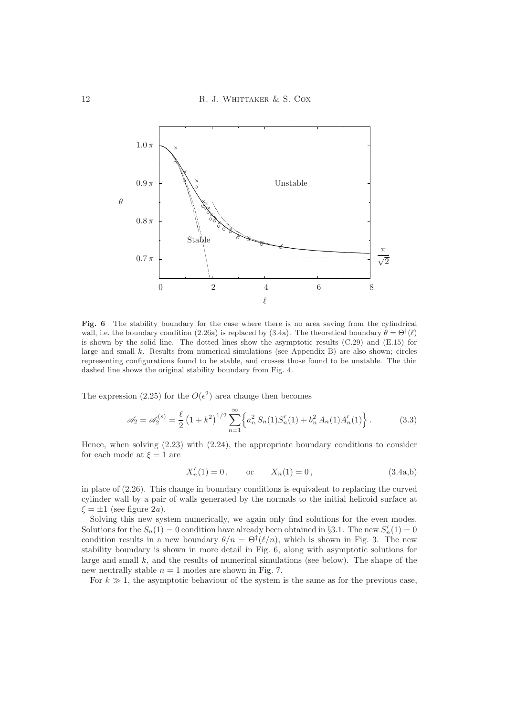

Fig. 6 The stability boundary for the case where there is no area saving from the cylindrical wall, i.e. the boundary condition (2.26a) is replaced by (3.4a). The theoretical boundary  $\theta = \Theta^{\dagger}(\ell)$ is shown by the solid line. The dotted lines show the asymptotic results (C.29) and (E.15) for large and small  $k$ . Results from numerical simulations (see Appendix B) are also shown; circles representing configurations found to be stable, and crosses those found to be unstable. The thin dashed line shows the original stability boundary from Fig. 4.

The expression (2.25) for the  $O(\epsilon^2)$  area change then becomes

$$
\mathscr{A}_2 = \mathscr{A}_2^{(s)} = \frac{\ell}{2} \left( 1 + k^2 \right)^{1/2} \sum_{n=1}^{\infty} \left\{ a_n^2 S_n(1) S_n'(1) + b_n^2 A_n(1) A_n'(1) \right\}.
$$
 (3.3)

Hence, when solving (2.23) with (2.24), the appropriate boundary conditions to consider for each mode at  $\xi = 1$  are

$$
X'_n(1) = 0, \qquad \text{or} \qquad X_n(1) = 0, \tag{3.4a,b}
$$

in place of (2.26). This change in boundary conditions is equivalent to replacing the curved cylinder wall by a pair of walls generated by the normals to the initial helicoid surface at  $\xi = \pm 1$  (see figure 2*a*).

Solving this new system numerically, we again only find solutions for the even modes. Solutions for the  $S_n(1) = 0$  condition have already been obtained in §3.1. The new  $S'_n(1) = 0$ condition results in a new boundary  $\theta/n = \Theta^{\dagger}(\ell/n)$ , which is shown in Fig. 3. The new stability boundary is shown in more detail in Fig. 6, along with asymptotic solutions for large and small  $k$ , and the results of numerical simulations (see below). The shape of the new neutrally stable  $n = 1$  modes are shown in Fig. 7.

For  $k \gg 1$ , the asymptotic behaviour of the system is the same as for the previous case,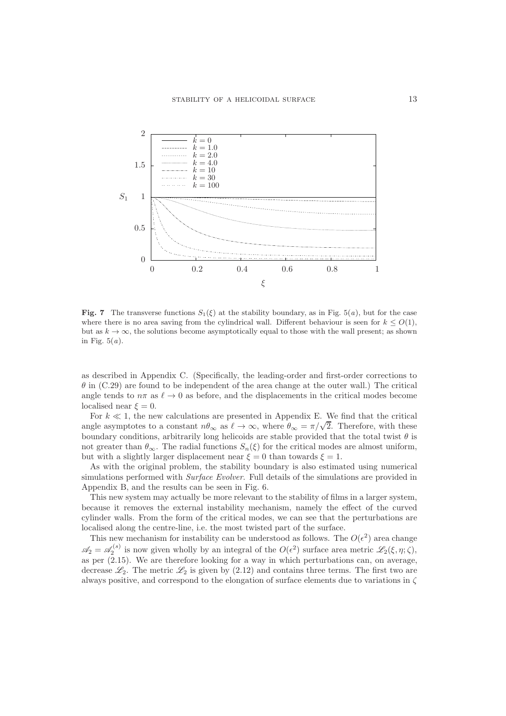

Fig. 7 The transverse functions  $S_1(\xi)$  at the stability boundary, as in Fig. 5(a), but for the case where there is no area saving from the cylindrical wall. Different behaviour is seen for  $k \leq O(1)$ , but as  $k \to \infty$ , the solutions become asymptotically equal to those with the wall present; as shown in Fig.  $5(a)$ .

as described in Appendix C. (Specifically, the leading-order and first-order corrections to  $\theta$  in (C.29) are found to be independent of the area change at the outer wall.) The critical angle tends to  $n\pi$  as  $\ell \to 0$  as before, and the displacements in the critical modes become localised near  $\xi = 0$ .

For  $k \ll 1$ , the new calculations are presented in Appendix E. We find that the critical angle asymptotes to a constant  $n\theta_{\infty}$  as  $\ell \to \infty$ , where  $\theta_{\infty} = \pi/\sqrt{2}$ . Therefore, with these boundary conditions, arbitrarily long helicoids are stable provided that the total twist  $\theta$  is not greater than  $\theta_{\infty}$ . The radial functions  $S_n(\xi)$  for the critical modes are almost uniform, but with a slightly larger displacement near  $\xi = 0$  than towards  $\xi = 1$ .

As with the original problem, the stability boundary is also estimated using numerical simulations performed with *Surface Evolver*. Full details of the simulations are provided in Appendix B, and the results can be seen in Fig. 6.

This new system may actually be more relevant to the stability of films in a larger system, because it removes the external instability mechanism, namely the effect of the curved cylinder walls. From the form of the critical modes, we can see that the perturbations are localised along the centre-line, i.e. the most twisted part of the surface.

This new mechanism for instability can be understood as follows. The  $O(\epsilon^2)$  area change  $\mathscr{A}_2 = \mathscr{A}_2^{(s)}$  is now given wholly by an integral of the  $O(\epsilon^2)$  surface area metric  $\mathscr{L}_2(\xi, \eta; \zeta)$ , as per (2.15). We are therefore looking for a way in which perturbations can, on average, decrease  $\mathcal{L}_2$ . The metric  $\mathcal{L}_2$  is given by (2.12) and contains three terms. The first two are always positive, and correspond to the elongation of surface elements due to variations in  $\zeta$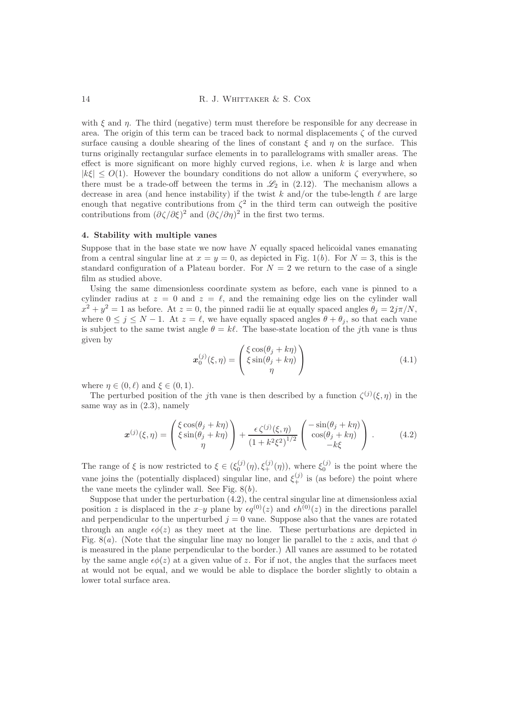with  $\xi$  and  $\eta$ . The third (negative) term must therefore be responsible for any decrease in area. The origin of this term can be traced back to normal displacements  $\zeta$  of the curved surface causing a double shearing of the lines of constant  $\xi$  and  $\eta$  on the surface. This turns originally rectangular surface elements in to parallelograms with smaller areas. The effect is more significant on more highly curved regions, i.e. when  $k$  is large and when  $|k\xi| \leq O(1)$ . However the boundary conditions do not allow a uniform  $\zeta$  everywhere, so there must be a trade-off between the terms in  $\mathcal{L}_2$  in (2.12). The mechanism allows a decrease in area (and hence instability) if the twist k and/or the tube-length  $\ell$  are large enough that negative contributions from  $\zeta^2$  in the third term can outweigh the positive contributions from  $(\partial \zeta/\partial \xi)^2$  and  $(\partial \zeta/\partial \eta)^2$  in the first two terms.

### 4. Stability with multiple vanes

Suppose that in the base state we now have  $N$  equally spaced helicoidal vanes emanating from a central singular line at  $x = y = 0$ , as depicted in Fig. 1(b). For  $N = 3$ , this is the standard configuration of a Plateau border. For  $N = 2$  we return to the case of a single film as studied above.

Using the same dimensionless coordinate system as before, each vane is pinned to a cylinder radius at  $z = 0$  and  $z = \ell$ , and the remaining edge lies on the cylinder wall  $x^2 + y^2 = 1$  as before. At  $z = 0$ , the pinned radii lie at equally spaced angles  $\theta_j = 2j\pi/N$ , where  $0 \le j \le N - 1$ . At  $z = \ell$ , we have equally spaced angles  $\theta + \theta_j$ , so that each vane is subject to the same twist angle  $\theta = k\ell$ . The base-state location of the jth vane is thus given by

$$
\boldsymbol{x}_{0}^{(j)}(\xi,\eta) = \begin{pmatrix} \xi \cos(\theta_{j} + k\eta) \\ \xi \sin(\theta_{j} + k\eta) \\ \eta \end{pmatrix}
$$
(4.1)

where  $\eta \in (0, \ell)$  and  $\xi \in (0, 1)$ .

The perturbed position of the j<sup>th</sup> vane is then described by a function  $\zeta^{(j)}(\xi, \eta)$  in the same way as in (2.3), namely

$$
\boldsymbol{x}^{(j)}(\xi,\eta) = \begin{pmatrix} \xi \cos(\theta_j + k\eta) \\ \xi \sin(\theta_j + k\eta) \\ \eta \end{pmatrix} + \frac{\epsilon \zeta^{(j)}(\xi,\eta)}{\left(1 + k^2 \xi^2\right)^{1/2}} \begin{pmatrix} -\sin(\theta_j + k\eta) \\ \cos(\theta_j + k\eta) \\ -k\xi \end{pmatrix} . \tag{4.2}
$$

The range of  $\xi$  is now restricted to  $\xi \in (\xi_0^{(j)}(\eta), \xi_+^{(j)}(\eta))$ , where  $\xi_0^{(j)}$  is the point where the vane joins the (potentially displaced) singular line, and  $\xi_{+}^{(j)}$  is (as before) the point where the vane meets the cylinder wall. See Fig.  $8(b)$ .

Suppose that under the perturbation  $(4.2)$ , the central singular line at dimensionless axial position z is displaced in the x–y plane by  $\epsilon q^{(0)}(z)$  and  $\epsilon h^{(0)}(z)$  in the directions parallel and perpendicular to the unperturbed  $j = 0$  vane. Suppose also that the vanes are rotated through an angle  $\epsilon\phi(z)$  as they meet at the line. These perturbations are depicted in Fig. 8(a). (Note that the singular line may no longer lie parallel to the z axis, and that  $\phi$ is measured in the plane perpendicular to the border.) All vanes are assumed to be rotated by the same angle  $\epsilon \phi(z)$  at a given value of z. For if not, the angles that the surfaces meet at would not be equal, and we would be able to displace the border slightly to obtain a lower total surface area.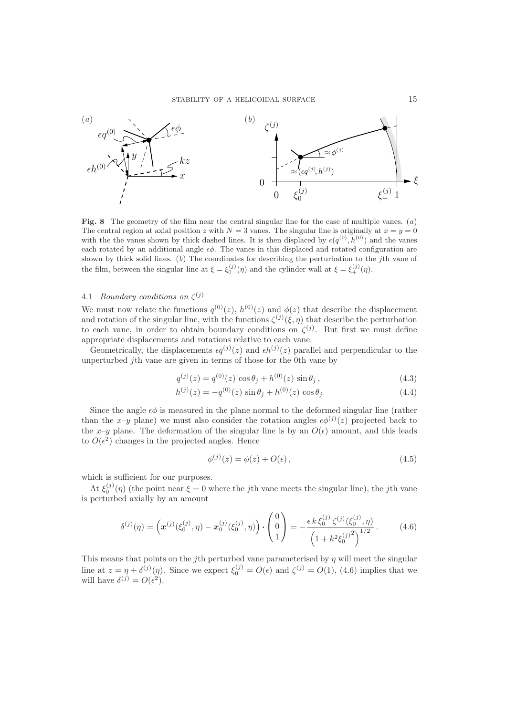

Fig. 8 The geometry of the film near the central singular line for the case of multiple vanes.  $(a)$ The central region at axial position z with  $N = 3$  vanes. The singular line is originally at  $x = y = 0$ with the the vanes shown by thick dashed lines. It is then displaced by  $\epsilon(q^{(0)}, h^{(0)})$  and the vanes each rotated by an additional angle  $\epsilon\phi$ . The vanes in this displaced and rotated configuration are shown by thick solid lines.  $(b)$  The coordinates for describing the perturbation to the jth vane of the film, between the singular line at  $\xi = \xi_0^{(j)}(\eta)$  and the cylinder wall at  $\xi = \xi_+^{(j)}(\eta)$ .

# 4.1 *Boundary conditions on*  $\zeta^{(j)}$

We must now relate the functions  $q^{(0)}(z)$ ,  $h^{(0)}(z)$  and  $\phi(z)$  that describe the displacement and rotation of the singular line, with the functions  $\zeta^{(j)}(\xi, \eta)$  that describe the perturbation to each vane, in order to obtain boundary conditions on  $\zeta^{(j)}$ . But first we must define appropriate displacements and rotations relative to each vane.

Geometrically, the displacements  $\epsilon q^{(j)}(z)$  and  $\epsilon h^{(j)}(z)$  parallel and perpendicular to the unperturbed jth vane are given in terms of those for the 0th vane by

$$
q^{(j)}(z) = q^{(0)}(z) \cos \theta_j + h^{(0)}(z) \sin \theta_j, \qquad (4.3)
$$

$$
h^{(j)}(z) = -q^{(0)}(z)\sin\theta_j + h^{(0)}(z)\cos\theta_j \tag{4.4}
$$

Since the angle  $\epsilon\phi$  is measured in the plane normal to the deformed singular line (rather than the x-y plane) we must also consider the rotation angles  $\epsilon \phi^{(j)}(z)$  projected back to the x–y plane. The deformation of the singular line is by an  $O(\epsilon)$  amount, and this leads to  $O(\epsilon^2)$  changes in the projected angles. Hence

$$
\phi^{(j)}(z) = \phi(z) + O(\epsilon),\tag{4.5}
$$

which is sufficient for our purposes.

At  $\xi_0^{(j)}(\eta)$  (the point near  $\xi = 0$  where the jth vane meets the singular line), the jth vane is perturbed axially by an amount

$$
\delta^{(j)}(\eta) = \left( \boldsymbol{x}^{(j)}(\xi_0^{(j)}, \eta) - \boldsymbol{x}_0^{(j)}(\xi_0^{(j)}, \eta) \right) \cdot \begin{pmatrix} 0 \\ 0 \\ 1 \end{pmatrix} = -\frac{\epsilon k \, \xi_0^{(j)} \, \zeta^{(j)}(\xi_0^{(j)}, \eta)}{\left( 1 + k^2 \xi_0^{(j)} \right)^{1/2}}. \tag{4.6}
$$

This means that points on the jth perturbed vane parameterised by  $\eta$  will meet the singular line at  $z = \eta + \delta^{(j)}(\eta)$ . Since we expect  $\xi_0^{(j)} = O(\epsilon)$  and  $\zeta^{(j)} = O(1)$ , (4.6) implies that we will have  $\delta^{(j)} = O(\epsilon^2)$ .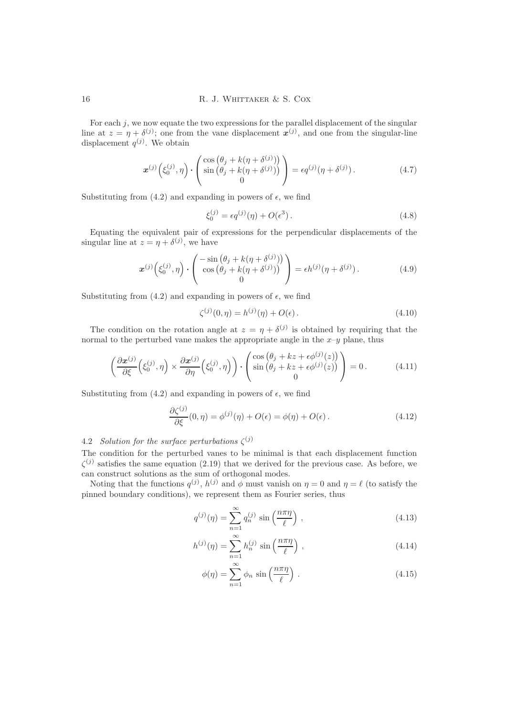For each  $j$ , we now equate the two expressions for the parallel displacement of the singular line at  $z = \eta + \delta^{(j)}$ ; one from the vane displacement  $x^{(j)}$ , and one from the singular-line displacement  $q^{(j)}$ . We obtain

$$
\boldsymbol{x}^{(j)}\left(\xi_0^{(j)},\eta\right)\cdot\begin{pmatrix}\cos\left(\theta_j+k(\eta+\delta^{(j)})\right)\\ \sin\left(\theta_j+k(\eta+\delta^{(j)})\right)\\0\end{pmatrix} = \epsilon q^{(j)}(\eta+\delta^{(j)})\,. \tag{4.7}
$$

Substituting from (4.2) and expanding in powers of  $\epsilon$ , we find

$$
\xi_0^{(j)} = \epsilon q^{(j)}(\eta) + O(\epsilon^3). \tag{4.8}
$$

Equating the equivalent pair of expressions for the perpendicular displacements of the singular line at  $z = \eta + \delta^{(j)}$ , we have

$$
\boldsymbol{x}^{(j)}\left(\xi_0^{(j)},\eta\right)\cdot\begin{pmatrix} -\sin\left(\theta_j + k(\eta + \delta^{(j)})\right) \\ \cos\left(\theta_j + k(\eta + \delta^{(j)})\right) \\ 0 \end{pmatrix} = \epsilon h^{(j)}(\eta + \delta^{(j)}).
$$
 (4.9)

Substituting from (4.2) and expanding in powers of  $\epsilon$ , we find

$$
\zeta^{(j)}(0,\eta) = h^{(j)}(\eta) + O(\epsilon). \tag{4.10}
$$

The condition on the rotation angle at  $z = \eta + \delta^{(j)}$  is obtained by requiring that the normal to the perturbed vane makes the appropriate angle in the  $x-y$  plane, thus

$$
\left(\frac{\partial \boldsymbol{x}^{(j)}}{\partial \xi}\left(\xi_0^{(j)},\eta\right) \times \frac{\partial \boldsymbol{x}^{(j)}}{\partial \eta}\left(\xi_0^{(j)},\eta\right)\right) \cdot \left(\begin{array}{c} \cos\left(\theta_j + kz + \epsilon \phi^{(j)}(z)\right) \\ \sin\left(\theta_j + kz + \epsilon \phi^{(j)}(z)\right) \\ 0 \end{array}\right) = 0. \tag{4.11}
$$

Substituting from (4.2) and expanding in powers of  $\epsilon$ , we find

$$
\frac{\partial \zeta^{(j)}}{\partial \xi}(0,\eta) = \phi^{(j)}(\eta) + O(\epsilon) = \phi(\eta) + O(\epsilon).
$$
\n(4.12)

# 4.2 Solution for the surface perturbations  $\zeta^{(j)}$

The condition for the perturbed vanes to be minimal is that each displacement function  $\zeta^{(j)}$  satisfies the same equation (2.19) that we derived for the previous case. As before, we can construct solutions as the sum of orthogonal modes.

Noting that the functions  $q^{(j)}$ ,  $h^{(j)}$  and  $\phi$  must vanish on  $\eta = 0$  and  $\eta = \ell$  (to satisfy the pinned boundary conditions), we represent them as Fourier series, thus

$$
q^{(j)}(\eta) = \sum_{n=1}^{\infty} q_n^{(j)} \sin\left(\frac{n\pi\eta}{\ell}\right),\qquad(4.13)
$$

$$
h^{(j)}(\eta) = \sum_{n=1}^{\infty} h_n^{(j)} \sin\left(\frac{n\pi\eta}{\ell}\right),
$$
 (4.14)

$$
\phi(\eta) = \sum_{n=1}^{\infty} \phi_n \sin\left(\frac{n\pi\eta}{\ell}\right). \tag{4.15}
$$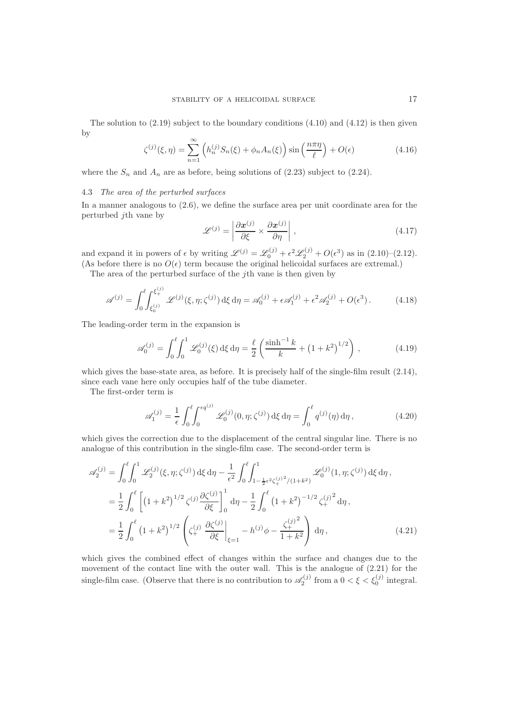The solution to  $(2.19)$  subject to the boundary conditions  $(4.10)$  and  $(4.12)$  is then given by

$$
\zeta^{(j)}(\xi,\eta) = \sum_{n=1}^{\infty} \left( h_n^{(j)} S_n(\xi) + \phi_n A_n(\xi) \right) \sin\left(\frac{n\pi\eta}{\ell}\right) + O(\epsilon)
$$
\n(4.16)

where the  $S_n$  and  $A_n$  are as before, being solutions of (2.23) subject to (2.24).

#### 4.3 The area of the perturbed surfaces

In a manner analogous to (2.6), we define the surface area per unit coordinate area for the perturbed jth vane by

$$
\mathscr{L}^{(j)} = \left| \frac{\partial \mathbf{x}^{(j)}}{\partial \xi} \times \frac{\partial \mathbf{x}^{(j)}}{\partial \eta} \right|, \qquad (4.17)
$$

and expand it in powers of  $\epsilon$  by writing  $\mathscr{L}^{(j)} = \mathscr{L}_0^{(j)} + \epsilon^2 \mathscr{L}_2^{(j)} + O(\epsilon^3)$  as in  $(2.10)-(2.12)$ . (As before there is no  $O(\epsilon)$  term because the original helicoidal surfaces are extremal.)

The area of the perturbed surface of the jth vane is then given by

$$
\mathscr{A}^{(j)} = \int_0^\ell \int_{\xi_0^{(j)}}^{\xi_+^{(j)}} \mathscr{L}^{(j)}(\xi, \eta; \zeta^{(j)}) \, d\xi \, d\eta = \mathscr{A}_0^{(j)} + \epsilon \mathscr{A}_1^{(j)} + \epsilon^2 \mathscr{A}_2^{(j)} + O(\epsilon^3). \tag{4.18}
$$

The leading-order term in the expansion is

$$
\mathscr{A}_0^{(j)} = \int_0^\ell \int_0^1 \mathscr{L}_0^{(j)}(\xi) \,d\xi \,d\eta = \frac{\ell}{2} \left( \frac{\sinh^{-1} k}{k} + \left( 1 + k^2 \right)^{1/2} \right),\tag{4.19}
$$

which gives the base-state area, as before. It is precisely half of the single-film result (2.14), since each vane here only occupies half of the tube diameter.

The first-order term is

$$
\mathscr{A}_1^{(j)} = \frac{1}{\epsilon} \int_0^\ell \int_0^{\epsilon q^{(j)}} \mathscr{L}_0^{(j)}(0, \eta; \zeta^{(j)}) \,d\xi \,d\eta = \int_0^\ell q^{(j)}(\eta) \,d\eta, \qquad (4.20)
$$

which gives the correction due to the displacement of the central singular line. There is no analogue of this contribution in the single-film case. The second-order term is

$$
\mathscr{A}_{2}^{(j)} = \int_{0}^{\ell} \int_{0}^{1} \mathscr{L}_{2}^{(j)}(\xi, \eta; \zeta^{(j)}) \,d\xi \,d\eta - \frac{1}{\epsilon^{2}} \int_{0}^{\ell} \int_{1 - \frac{1}{2}\epsilon^{2} \zeta_{+}^{(j)2} / (1 + k^{2})}^{1} \mathscr{L}_{0}^{(j)}(1, \eta; \zeta^{(j)}) \,d\xi \,d\eta,
$$
  
\n
$$
= \frac{1}{2} \int_{0}^{\ell} \left[ \left(1 + k^{2}\right)^{1/2} \zeta^{(j)} \frac{\partial \zeta^{(j)}}{\partial \xi} \right]_{0}^{1} d\eta - \frac{1}{2} \int_{0}^{\ell} \left(1 + k^{2}\right)^{-1/2} \zeta_{+}^{(j)2} d\eta,
$$
  
\n
$$
= \frac{1}{2} \int_{0}^{\ell} \left(1 + k^{2}\right)^{1/2} \left(\zeta_{+}^{(j)} \frac{\partial \zeta^{(j)}}{\partial \xi} \right|_{\xi=1} - h^{(j)} \phi - \frac{\zeta_{+}^{(j)2}}{1 + k^{2}} \right) d\eta,
$$
(4.21)

which gives the combined effect of changes within the surface and changes due to the movement of the contact line with the outer wall. This is the analogue of (2.21) for the single-film case. (Observe that there is no contribution to  $\mathscr{A}_2^{(j)}$  from a  $0 < \xi < \xi_0^{(j)}$  integral.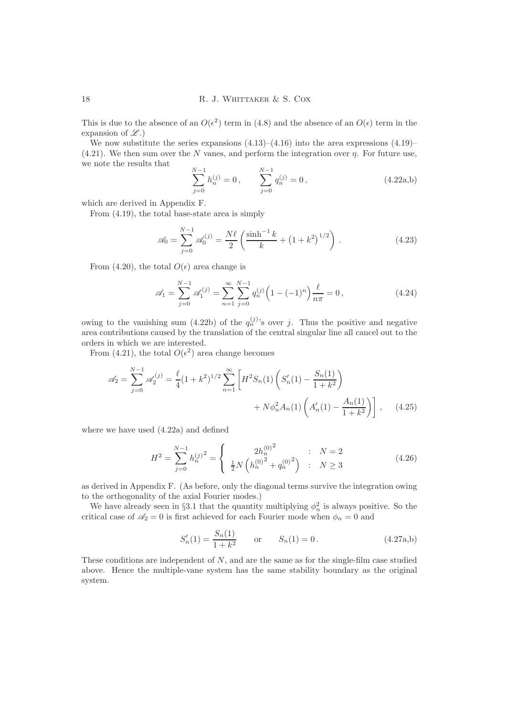This is due to the absence of an  $O(\epsilon^2)$  term in (4.8) and the absence of an  $O(\epsilon)$  term in the expansion of  $\mathscr{L}.$ 

We now substitute the series expansions  $(4.13)$ – $(4.16)$  into the area expressions  $(4.19)$ –  $(4.21)$ . We then sum over the N vanes, and perform the integration over  $\eta$ . For future use, we note the results that

$$
\sum_{j=0}^{N-1} h_n^{(j)} = 0, \qquad \sum_{j=0}^{N-1} q_n^{(j)} = 0, \qquad (4.22a,b)
$$

which are derived in Appendix F.

From (4.19), the total base-state area is simply

$$
\mathscr{A}_0 = \sum_{j=0}^{N-1} \mathscr{A}_0^{(j)} = \frac{N\ell}{2} \left( \frac{\sinh^{-1} k}{k} + \left( 1 + k^2 \right)^{1/2} \right). \tag{4.23}
$$

From (4.20), the total  $O(\epsilon)$  area change is

$$
\mathcal{A}_1 = \sum_{j=0}^{N-1} \mathcal{A}_1^{(j)} = \sum_{n=1}^{\infty} \sum_{j=0}^{N-1} q_n^{(j)} \left( 1 - (-1)^n \right) \frac{\ell}{n\pi} = 0, \qquad (4.24)
$$

owing to the vanishing sum (4.22b) of the  $q_n^{(j)}$ 's over j. Thus the positive and negative area contributions caused by the translation of the central singular line all cancel out to the orders in which we are interested.

From (4.21), the total  $O(\epsilon^2)$  area change becomes

$$
\mathscr{A}_2 = \sum_{j=0}^{N-1} \mathscr{A}_2^{(j)} = \frac{\ell}{4} (1+k^2)^{1/2} \sum_{n=1}^{\infty} \left[ H^2 S_n(1) \left( S_n'(1) - \frac{S_n(1)}{1+k^2} \right) + N \phi_n^2 A_n(1) \left( A_n'(1) - \frac{A_n(1)}{1+k^2} \right) \right], \quad (4.25)
$$

where we have used (4.22a) and defined

$$
H^{2} = \sum_{j=0}^{N-1} h_{n}^{(j)^{2}} = \begin{cases} 2h_{n}^{(0)^{2}} & \colon N = 2\\ \frac{1}{2}N\left(h_{n}^{(0)^{2}} + q_{n}^{(0)^{2}}\right) & \colon N \ge 3 \end{cases}
$$
(4.26)

as derived in Appendix F. (As before, only the diagonal terms survive the integration owing to the orthogonality of the axial Fourier modes.)

We have already seen in §3.1 that the quantity multiplying  $\phi_n^2$  is always positive. So the critical case of  $\mathscr{A}_2 = 0$  is first achieved for each Fourier mode when  $\phi_n = 0$  and

$$
S'_n(1) = \frac{S_n(1)}{1 + k^2} \quad \text{or} \quad S_n(1) = 0. \tag{4.27a,b}
$$

These conditions are independent of N, and are the same as for the single-film case studied above. Hence the multiple-vane system has the same stability boundary as the original system.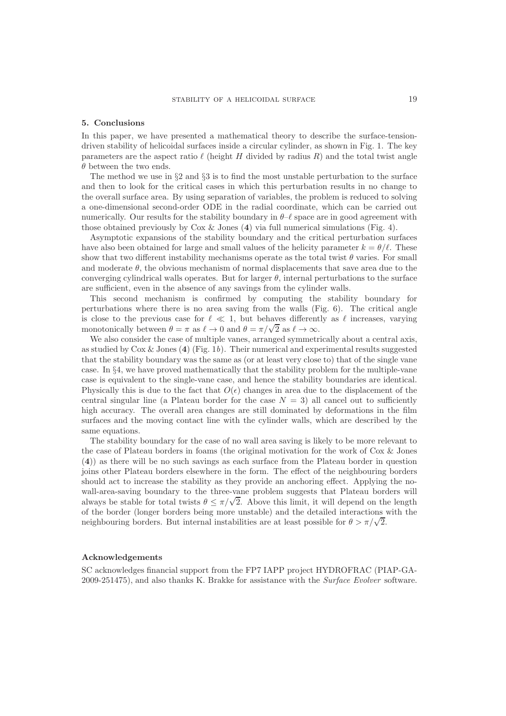#### 5. Conclusions

In this paper, we have presented a mathematical theory to describe the surface-tensiondriven stability of helicoidal surfaces inside a circular cylinder, as shown in Fig. 1. The key parameters are the aspect ratio  $\ell$  (height H divided by radius R) and the total twist angle  $\theta$  between the two ends.

The method we use in  $\S2$  and  $\S3$  is to find the most unstable perturbation to the surface and then to look for the critical cases in which this perturbation results in no change to the overall surface area. By using separation of variables, the problem is reduced to solving a one-dimensional second-order ODE in the radial coordinate, which can be carried out numerically. Our results for the stability boundary in  $\theta-\ell$  space are in good agreement with those obtained previously by Cox  $\&$  Jones (4) via full numerical simulations (Fig. 4).

Asymptotic expansions of the stability boundary and the critical perturbation surfaces have also been obtained for large and small values of the helicity parameter  $k = \theta/\ell$ . These show that two different instability mechanisms operate as the total twist  $\theta$  varies. For small and moderate  $\theta$ , the obvious mechanism of normal displacements that save area due to the converging cylindrical walls operates. But for larger  $\theta$ , internal perturbations to the surface are sufficient, even in the absence of any savings from the cylinder walls.

This second mechanism is confirmed by computing the stability boundary for perturbations where there is no area saving from the walls (Fig. 6). The critical angle is close to the previous case for  $\ell \ll 1$ , but behaves differently as  $\ell$  increases, varying monotonically between  $\theta = \pi$  as  $\ell \to 0$  and  $\theta = \pi/\sqrt{2}$  as  $\ell \to \infty$ .

We also consider the case of multiple vanes, arranged symmetrically about a central axis, as studied by  $\text{Cox } \& \text{ Jones (4) (Fig. 1b).}$  Their numerical and experimental results suggested that the stability boundary was the same as (or at least very close to) that of the single vane case. In §4, we have proved mathematically that the stability problem for the multiple-vane case is equivalent to the single-vane case, and hence the stability boundaries are identical. Physically this is due to the fact that  $O(\epsilon)$  changes in area due to the displacement of the central singular line (a Plateau border for the case  $N = 3$ ) all cancel out to sufficiently high accuracy. The overall area changes are still dominated by deformations in the film surfaces and the moving contact line with the cylinder walls, which are described by the same equations.

The stability boundary for the case of no wall area saving is likely to be more relevant to the case of Plateau borders in foams (the original motivation for the work of Cox & Jones (4)) as there will be no such savings as each surface from the Plateau border in question joins other Plateau borders elsewhere in the form. The effect of the neighbouring borders should act to increase the stability as they provide an anchoring effect. Applying the nowall-area-saving boundary to the three-vane problem suggests that Plateau borders will always be stable for total twists  $\theta \leq \pi/\sqrt{2}$ . Above this limit, it will depend on the length of the border (longer borders being more unstable) and the detailed interactions with the neighbouring borders. But internal instabilities are at least possible for  $\theta > \pi/\sqrt{2}$ .

### Acknowledgements

SC acknowledges financial support from the FP7 IAPP project HYDROFRAC (PIAP-GA-2009-251475), and also thanks K. Brakke for assistance with the Surface Evolver software.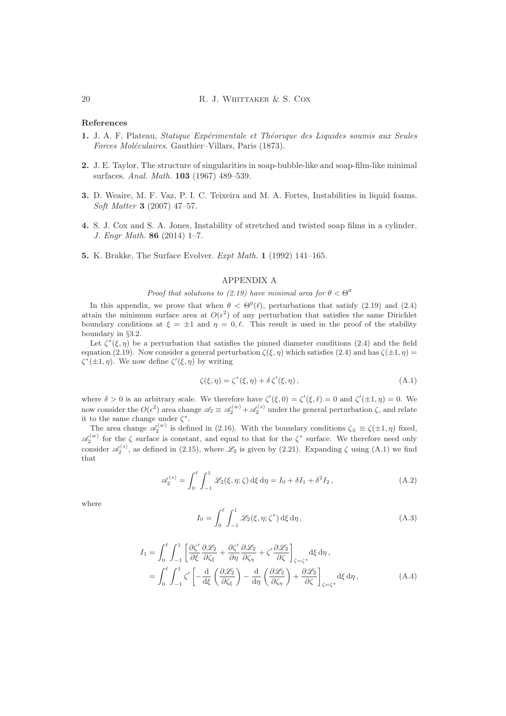# References

- 1. J. A. F. Plateau, Statique Expérimentale et Théorique des Liquides soumis aux Seules Forces Moléculaires. Gauthier–Villars, Paris (1873).
- 2. J. E. Taylor, The structure of singularities in soap-bubble-like and soap-film-like minimal surfaces. Anal. Math. 103 (1967) 489–539.
- 3. D. Weaire, M. F. Vaz, P. I. C. Teixeira and M. A. Fortes, Instabilities in liquid foams. Soft Matter 3 (2007) 47–57.
- 4. S. J. Cox and S. A. Jones, Instability of stretched and twisted soap films in a cylinder. J. Engr Math. 86 (2014) 1–7.
- 5. K. Brakke, The Surface Evolver. Expt Math. 1 (1992) 141–165.

# APPENDIX A

# Proof that solutions to (2.19) have minimal area for  $\theta < \Theta^0$

In this appendix, we prove that when  $\theta < \Theta^0(\ell)$ , perturbations that satisfy (2.19) and (2.4) attain the minimum surface area at  $O(\epsilon^2)$  of any perturbation that satisfies the same Dirichlet boundary conditions at  $\xi = \pm 1$  and  $\eta = 0, \ell$ . This result is used in the proof of the stability boundary in §3.2.

Let  $\zeta^*(\xi, \eta)$  be a perturbation that satisfies the pinned diameter conditions (2.4) and the field equation (2.19). Now consider a general perturbation  $\zeta(\xi, \eta)$  which satisfies (2.4) and has  $\zeta(\pm 1, \eta)$  =  $\zeta^*(\pm 1, \eta)$ . We now define  $\zeta'(\xi, \eta)$  by writing

$$
\zeta(\xi,\eta) = \zeta^*(\xi,\eta) + \delta \zeta'(\xi,\eta), \qquad (A.1)
$$

where  $\delta > 0$  is an arbitrary scale. We therefore have  $\zeta'(\xi,0) = \zeta'(\xi,\ell) = 0$  and  $\zeta'(\pm 1,\eta) = 0$ . We now consider the  $O(\epsilon^2)$  area change  $\mathscr{A}_2 \equiv \mathscr{A}_2^{(w)} + \mathscr{A}_2^{(s)}$  under the general perturbation ζ, and relate it to the same change under  $\zeta^*$ .

The area change  $\mathscr{A}_2^{(w)}$  is defined in (2.16). With the boundary conditions  $\zeta_{\pm} \equiv \zeta(\pm 1, \eta)$  fixed,  $\mathscr{A}_2^{(w)}$  for the  $\zeta$  surface is constant, and equal to that for the  $\zeta^*$  surface. We therefore need only consider  $\mathscr{A}_2^{(s)}$ , as defined in (2.15), where  $\mathscr{L}_2$  is given by (2.21). Expanding  $\zeta$  using (A.1) we find that

$$
\mathscr{A}_2^{(s)} = \int_0^\ell \int_{-1}^1 \mathscr{L}_2(\xi, \eta; \zeta) \, d\xi \, d\eta = I_0 + \delta I_1 + \delta^2 I_2 \,, \tag{A.2}
$$

where

$$
I_0 = \int_0^\ell \int_{-1}^1 \mathcal{L}_2(\xi, \eta; \zeta^*) \, d\xi \, d\eta \,, \tag{A.3}
$$

$$
I_{1} = \int_{0}^{\ell} \int_{-1}^{1} \left[ \frac{\partial \zeta'}{\partial \xi} \frac{\partial \mathcal{L}_{2}}{\partial \zeta_{\xi}} + \frac{\partial \zeta'}{\partial \eta} \frac{\partial \mathcal{L}_{2}}{\partial \zeta_{\eta}} + \zeta' \frac{\partial \mathcal{L}_{2}}{\partial \zeta} \right]_{\zeta = \zeta^{*}} d\xi d\eta,
$$
  
= 
$$
\int_{0}^{\ell} \int_{-1}^{1} \zeta' \left[ -\frac{d}{d\xi} \left( \frac{\partial \mathcal{L}_{2}}{\partial \zeta_{\xi}} \right) - \frac{d}{d\eta} \left( \frac{\partial \mathcal{L}_{2}}{\partial \zeta_{\eta}} \right) + \frac{\partial \mathcal{L}_{2}}{\partial \zeta} \right]_{\zeta = \zeta^{*}} d\xi d\eta,
$$
(A.4)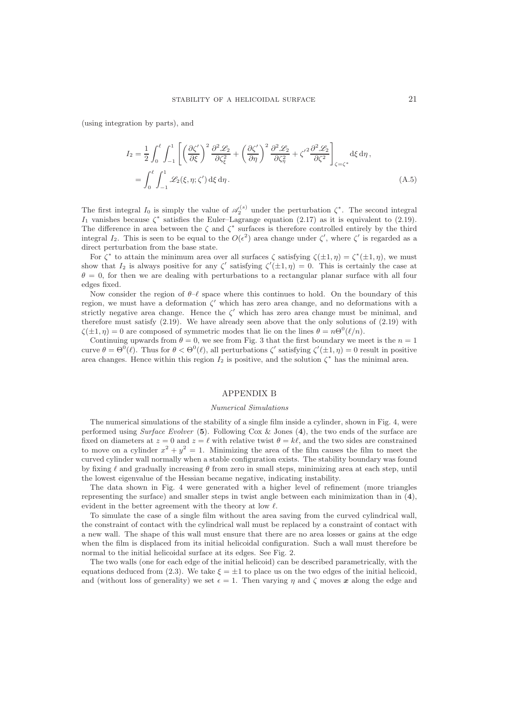(using integration by parts), and

$$
I_2 = \frac{1}{2} \int_0^{\ell} \int_{-1}^1 \left[ \left( \frac{\partial \zeta'}{\partial \xi} \right)^2 \frac{\partial^2 \mathcal{L}_2}{\partial \zeta_{\xi}^2} + \left( \frac{\partial \zeta'}{\partial \eta} \right)^2 \frac{\partial^2 \mathcal{L}_2}{\partial \zeta_{\eta}^2} + \zeta'^2 \frac{\partial^2 \mathcal{L}_2}{\partial \zeta^2} \right]_{\zeta = \zeta^*} d\xi d\eta,
$$
  
= 
$$
\int_0^{\ell} \int_{-1}^1 \mathcal{L}_2(\xi, \eta; \zeta') d\xi d\eta.
$$
 (A.5)

The first integral  $I_0$  is simply the value of  $\mathscr{A}_2^{(s)}$  under the perturbation  $\zeta^*$ . The second integral  $I_1$  vanishes because  $\zeta^*$  satisfies the Euler–Lagrange equation (2.17) as it is equivalent to (2.19). The difference in area between the  $\zeta$  and  $\zeta^*$  surfaces is therefore controlled entirely by the third integral  $I_2$ . This is seen to be equal to the  $O(\epsilon^2)$  area change under  $\zeta'$ , where  $\zeta'$  is regarded as a direct perturbation from the base state.

For  $\zeta^*$  to attain the minimum area over all surfaces  $\zeta$  satisfying  $\zeta(\pm 1, \eta) = \zeta^*(\pm 1, \eta)$ , we must show that  $I_2$  is always positive for any  $\zeta'$  satisfying  $\zeta'(\pm 1, \eta) = 0$ . This is certainly the case at  $\theta = 0$ , for then we are dealing with perturbations to a rectangular planar surface with all four edges fixed.

Now consider the region of  $\theta-\ell$  space where this continues to hold. On the boundary of this region, we must have a deformation  $\zeta'$  which has zero area change, and no deformations with a strictly negative area change. Hence the  $\zeta'$  which has zero area change must be minimal, and therefore must satisfy  $(2.19)$ . We have already seen above that the only solutions of  $(2.19)$  with  $\zeta(\pm 1, \eta) = 0$  are composed of symmetric modes that lie on the lines  $\theta = n\Theta^0(\ell/n)$ .

Continuing upwards from  $\theta = 0$ , we see from Fig. 3 that the first boundary we meet is the  $n = 1$ curve  $\theta = \Theta^0(\ell)$ . Thus for  $\theta < \Theta^0(\ell)$ , all perturbations  $\zeta'$  satisfying  $\zeta'(\pm 1, \eta) = 0$  result in positive area changes. Hence within this region  $I_2$  is positive, and the solution  $\zeta^*$  has the minimal area.

#### APPENDIX B

#### Numerical Simulations

The numerical simulations of the stability of a single film inside a cylinder, shown in Fig. 4, were performed using Surface Evolver  $(5)$ . Following Cox & Jones  $(4)$ , the two ends of the surface are fixed on diameters at  $z = 0$  and  $z = \ell$  with relative twist  $\theta = k\ell$ , and the two sides are constrained to move on a cylinder  $x^2 + y^2 = 1$ . Minimizing the area of the film causes the film to meet the curved cylinder wall normally when a stable configuration exists. The stability boundary was found by fixing  $\ell$  and gradually increasing  $\theta$  from zero in small steps, minimizing area at each step, until the lowest eigenvalue of the Hessian became negative, indicating instability.

The data shown in Fig. 4 were generated with a higher level of refinement (more triangles representing the surface) and smaller steps in twist angle between each minimization than in  $(4)$ , evident in the better agreement with the theory at low  $\ell$ .

To simulate the case of a single film without the area saving from the curved cylindrical wall, the constraint of contact with the cylindrical wall must be replaced by a constraint of contact with a new wall. The shape of this wall must ensure that there are no area losses or gains at the edge when the film is displaced from its initial helicoidal configuration. Such a wall must therefore be normal to the initial helicoidal surface at its edges. See Fig. 2.

The two walls (one for each edge of the initial helicoid) can be described parametrically, with the equations deduced from (2.3). We take  $\xi = \pm 1$  to place us on the two edges of the initial helicoid, and (without loss of generality) we set  $\epsilon = 1$ . Then varying  $\eta$  and  $\zeta$  moves x along the edge and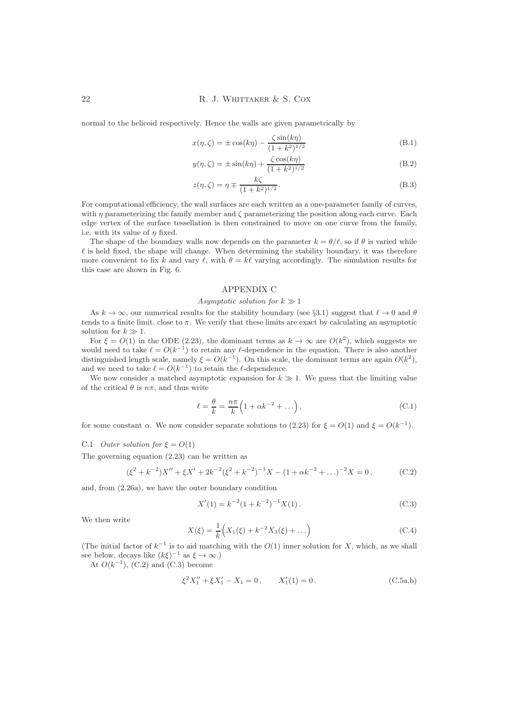normal to the helicoid respectively. Hence the walls are given parametrically by

$$
x(\eta, \zeta) = \pm \cos(k\eta) - \frac{\zeta \sin(k\eta)}{(1 + k^2)^{1/2}}
$$
 (B.1)

$$
y(\eta, \zeta) = \pm \sin(k\eta) + \frac{\zeta \cos(k\eta)}{(1 + k^2)^{1/2}}
$$
(B.2)

$$
z(\eta, \zeta) = \eta \mp \frac{k\zeta}{(1 + k^2)^{1/2}}.
$$
 (B.3)

For computational efficiency, the wall surfaces are each written as a one-parameter family of curves, with  $\eta$  parameterizing the family member and  $\zeta$  parameterizing the position along each curve. Each edge vertex of the surface tessellation is then constrained to move on one curve from the family, i.e. with its value of  $\eta$  fixed.

The shape of the boundary walls now depends on the parameter  $k = \theta/\ell$ , so if  $\theta$  is varied while  $\ell$  is held fixed, the shape will change. When determining the stability boundary, it was therefore more convenient to fix k and vary  $\ell$ , with  $\theta = k\ell$  varying accordingly. The simulation results for this case are shown in Fig. 6.

# APPENDIX C

# Asymptotic solution for  $k \gg 1$

As  $k \to \infty$ , our numerical results for the stability boundary (see §3.1) suggest that  $\ell \to 0$  and  $\theta$ tends to a finite limit, close to  $\pi$ . We verify that these limits are exact by calculating an asymptotic solution for  $k \gg 1$ .

For  $\xi = O(1)$  in the ODE (2.23), the dominant terms as  $k \to \infty$  are  $O(k^2)$ , which suggests we would need to take  $\ell = O(k^{-1})$  to retain any  $\ell$ -dependence in the equation. There is also another distinguished length scale, namely  $\xi = O(k^{-1})$ . On this scale, the dominant terms are again  $O(k^2)$ , and we need to take  $\ell = O(k^{-1})$  to retain the  $\ell$ -dependence.

We now consider a matched asymptotic expansion for  $k \gg 1$ . We guess that the limiting value of the critical  $\theta$  is  $n\pi$ , and thus write

$$
\ell = \frac{\theta}{k} = \frac{n\pi}{k} \left( 1 + \alpha k^{-2} + \dots \right),\tag{C.1}
$$

for some constant  $\alpha$ . We now consider separate solutions to (2.23) for  $\xi = O(1)$  and  $\xi = O(k^{-1})$ .

#### C.1 Outer solution for  $\xi = O(1)$

The governing equation (2.23) can be written as

$$
(\xi^2 + k^{-2})X'' + \xi X' + 2k^{-2}(\xi^2 + k^{-2})^{-1}X - (1 + \alpha k^{-2} + ...)^{-2}X = 0,
$$
 (C.2)

and, from (2.26a), we have the outer boundary condition

$$
X'(1) = k^{-2} (1 + k^{-2})^{-1} X(1).
$$
 (C.3)

We then write

$$
X(\xi) = \frac{1}{k} \Big( X_1(\xi) + k^{-2} X_3(\xi) + \ldots \Big) \tag{C.4}
$$

(The initial factor of  $k^{-1}$  is to aid matching with the  $O(1)$  inner solution for X, which, as we shall see below, decays like  $(k\xi)^{-1}$  as  $\xi \to \infty$ .)

At  $O(k^{-1})$ , (C.2) and (C.3) become

$$
\xi^2 X_1'' + \xi X_1' - X_1 = 0, \qquad X_1'(1) = 0. \tag{C.5a,b}
$$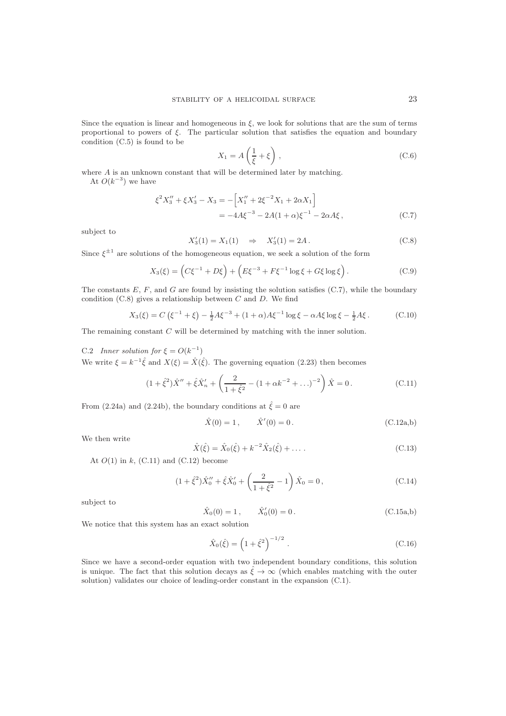Since the equation is linear and homogeneous in  $\xi$ , we look for solutions that are the sum of terms proportional to powers of  $\xi$ . The particular solution that satisfies the equation and boundary condition (C.5) is found to be

$$
X_1 = A\left(\frac{1}{\xi} + \xi\right),\tag{C.6}
$$

where A is an unknown constant that will be determined later by matching.

At  $O(k^{-3})$  we have

$$
\xi^2 X_3'' + \xi X_3' - X_3 = -\left[X_1'' + 2\xi^{-2} X_1 + 2\alpha X_1\right]
$$
  
= -4A\xi^{-3} - 2A(1 + \alpha)\xi^{-1} - 2\alpha A\xi, (C.7)

subject to

$$
X_3'(1) = X_1(1) \Rightarrow X_3'(1) = 2A.
$$
 (C.8)

Since  $\xi^{\pm 1}$  are solutions of the homogeneous equation, we seek a solution of the form

$$
X_3(\xi) = \left( C\xi^{-1} + D\xi \right) + \left( E\xi^{-3} + F\xi^{-1} \log \xi + G\xi \log \xi \right). \tag{C.9}
$$

The constants  $E, F$ , and  $G$  are found by insisting the solution satisfies (C.7), while the boundary condition  $(C.8)$  gives a relationship between C and D. We find

$$
X_3(\xi) = C(\xi^{-1} + \xi) - \frac{1}{2}A\xi^{-3} + (1 + \alpha)A\xi^{-1}\log\xi - \alpha A\xi\log\xi - \frac{1}{2}A\xi.
$$
 (C.10)

The remaining constant C will be determined by matching with the inner solution.

C.2 Inner solution for  $\xi = O(k^{-1})$ 

We write  $\xi = k^{-1}\hat{\xi}$  and  $X(\xi) = \hat{X}(\hat{\xi})$ . The governing equation (2.23) then becomes

$$
(1 + \hat{\xi}^2)\hat{X}'' + \hat{\xi}\hat{X}'_n + \left(\frac{2}{1 + \hat{\xi}^2} - (1 + \alpha k^{-2} + \ldots)^{-2}\right)\hat{X} = 0.
$$
 (C.11)

From (2.24a) and (2.24b), the boundary conditions at  $\hat{\xi} = 0$  are

$$
\hat{X}(0) = 1, \qquad \hat{X}'(0) = 0.
$$
 (C.12a,b)

We then write

$$
\hat{X}(\hat{\xi}) = \hat{X}_0(\hat{\xi}) + k^{-2}\hat{X}_2(\hat{\xi}) + \dots
$$
\n(C.13)

At  $O(1)$  in k,  $(C.11)$  and  $(C.12)$  become

$$
(1 + \hat{\xi}^2)\hat{X}_0'' + \hat{\xi}\hat{X}_0' + \left(\frac{2}{1 + \hat{\xi}^2} - 1\right)\hat{X}_0 = 0, \qquad (C.14)
$$

subject to

$$
\hat{X}_0(0) = 1, \qquad \hat{X}'_0(0) = 0.
$$
\n(C.15a,b)

We notice that this system has an exact solution

$$
\hat{X}_0(\hat{\xi}) = \left(1 + \hat{\xi}^2\right)^{-1/2}.
$$
\n(C.16)

Since we have a second-order equation with two independent boundary conditions, this solution is unique. The fact that this solution decays as  $\hat{\xi} \to \infty$  (which enables matching with the outer solution) validates our choice of leading-order constant in the expansion (C.1).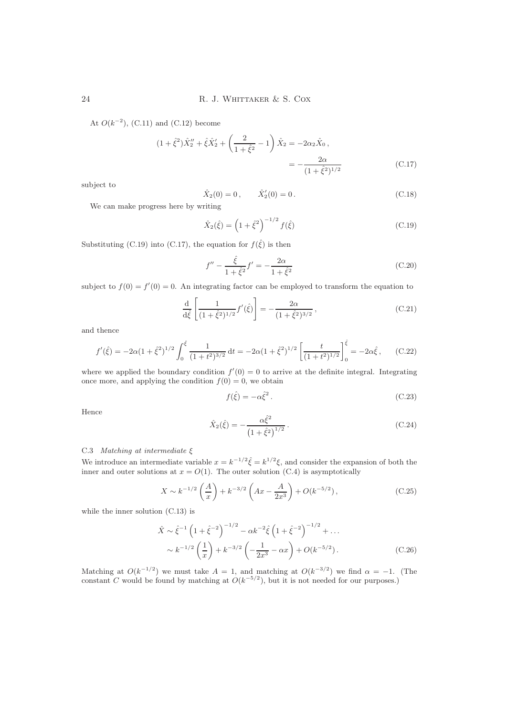At  $O(k^{-2})$ , (C.11) and (C.12) become

$$
(1 + \hat{\xi}^2) \hat{X}_2'' + \hat{\xi} \hat{X}_2' + \left(\frac{2}{1 + \hat{\xi}^2} - 1\right) \hat{X}_2 = -2\alpha_2 \hat{X}_0,
$$
  
= 
$$
-\frac{2\alpha}{(1 + \hat{\xi}^2)^{1/2}}
$$
(C.17)

subject to

$$
\hat{X}_2(0) = 0, \qquad \hat{X}'_2(0) = 0.
$$
\n(C.18)

We can make progress here by writing

$$
\hat{X}_2(\hat{\xi}) = \left(1 + \hat{\xi}^2\right)^{-1/2} f(\hat{\xi})
$$
\n(C.19)

Substituting (C.19) into (C.17), the equation for  $f(\hat{\xi})$  is then

$$
f'' - \frac{\hat{\xi}}{1 + \hat{\xi}^2} f' = -\frac{2\alpha}{1 + \hat{\xi}^2}
$$
 (C.20)

subject to  $f(0) = f'(0) = 0$ . An integrating factor can be employed to transform the equation to

$$
\frac{\mathrm{d}}{\mathrm{d}\hat{\xi}} \left[ \frac{1}{(1+\hat{\xi}^2)^{1/2}} f'(\hat{\xi}) \right] = -\frac{2\alpha}{(1+\hat{\xi}^2)^{3/2}},\tag{C.21}
$$

and thence

$$
f'(\hat{\xi}) = -2\alpha (1 + \hat{\xi}^2)^{1/2} \int_0^{\hat{\xi}} \frac{1}{(1+t^2)^{3/2}} dt = -2\alpha (1 + \hat{\xi}^2)^{1/2} \left[ \frac{t}{(1+t^2)^{1/2}} \right]_0^{\hat{\xi}} = -2\alpha \hat{\xi}, \qquad (C.22)
$$

where we applied the boundary condition  $f'(0) = 0$  to arrive at the definite integral. Integrating once more, and applying the condition  $f(0) = 0$ , we obtain

$$
f(\hat{\xi}) = -\alpha \hat{\xi}^2. \tag{C.23}
$$

Hence

$$
\hat{X}_2(\hat{\xi}) = -\frac{\alpha \hat{\xi}^2}{\left(1 + \hat{\xi}^2\right)^{1/2}}.
$$
\n(C.24)

# C.3 Matching at intermediate  $\xi$

We introduce an intermediate variable  $x = k^{-1/2} \hat{\xi} = k^{1/2} \xi$ , and consider the expansion of both the inner and outer solutions at  $x = O(1)$ . The outer solution (C.4) is asymptotically

$$
X \sim k^{-1/2} \left(\frac{A}{x}\right) + k^{-3/2} \left(Ax - \frac{A}{2x^3}\right) + O(k^{-5/2}),
$$
 (C.25)

while the inner solution (C.13) is

$$
\hat{X} \sim \hat{\xi}^{-1} \left( 1 + \hat{\xi}^{-2} \right)^{-1/2} - \alpha k^{-2} \hat{\xi} \left( 1 + \hat{\xi}^{-2} \right)^{-1/2} + \dots
$$

$$
\sim k^{-1/2} \left( \frac{1}{x} \right) + k^{-3/2} \left( -\frac{1}{2x^3} - \alpha x \right) + O(k^{-5/2}). \tag{C.26}
$$

Matching at  $O(k^{-1/2})$  we must take  $A = 1$ , and matching at  $O(k^{-3/2})$  we find  $\alpha = -1$ . (The constant C would be found by matching at  $O(k^{-5/2})$ , but it is not needed for our purposes.)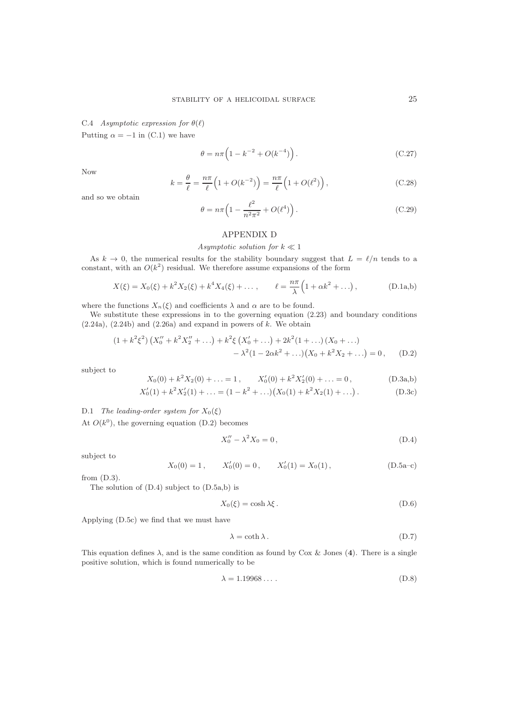C.4 Asymptotic expression for  $\theta(\ell)$ 

Putting  $\alpha = -1$  in (C.1) we have

$$
\theta = n\pi \left( 1 - k^{-2} + O(k^{-4}) \right). \tag{C.27}
$$

Now

$$
k = \frac{\theta}{\ell} = \frac{n\pi}{\ell} \left( 1 + O(k^{-2}) \right) = \frac{n\pi}{\ell} \left( 1 + O(\ell^2) \right),\tag{C.28}
$$

and so we obtain

$$
\theta = n\pi \left( 1 - \frac{\ell^2}{n^2 \pi^2} + O(\ell^4) \right). \tag{C.29}
$$

# APPENDIX D

# Asymptotic solution for  $k \ll 1$

As  $k \to 0$ , the numerical results for the stability boundary suggest that  $L = \ell/n$  tends to a constant, with an  $O(k^2)$  residual. We therefore assume expansions of the form

$$
X(\xi) = X_0(\xi) + k^2 X_2(\xi) + k^4 X_4(\xi) + \dots, \qquad \ell = \frac{n\pi}{\lambda} \Big( 1 + \alpha k^2 + \dots \Big), \tag{D.1a,b}
$$

where the functions  $X_n(\xi)$  and coefficients  $\lambda$  and  $\alpha$  are to be found.

We substitute these expressions in to the governing equation  $(2.23)$  and boundary conditions  $(2.24a)$ ,  $(2.24b)$  and  $(2.26a)$  and expand in powers of k. We obtain

$$
(1 + k^{2} \xi^{2}) \left( X_{0}'' + k^{2} X_{2}'' + \ldots \right) + k^{2} \xi \left( X_{0}' + \ldots \right) + 2k^{2} (1 + \ldots) \left( X_{0} + \ldots \right)
$$

$$
- \lambda^{2} (1 - 2\alpha k^{2} + \ldots) \left( X_{0} + k^{2} X_{2} + \ldots \right) = 0, \qquad (D.2)
$$

subject to

$$
X_0(0) + k^2 X_2(0) + \ldots = 1, \qquad X'_0(0) + k^2 X'_2(0) + \ldots = 0, \tag{D.3a,b}
$$

$$
X'_0(1) + k^2 X'_2(1) + \dots = (1 - k^2 + \dots)(X_0(1) + k^2 X_2(1) + \dots).
$$
 (D.3c)

D.1 The leading-order system for  $X_0(\xi)$ 

At 
$$
O(k^0)
$$
, the governing equation (D.2) becomes

$$
X_0'' - \lambda^2 X_0 = 0, \tag{D.4}
$$

subject to

$$
X_0(0) = 1
$$
,  $X'_0(0) = 0$ ,  $X'_0(1) = X_0(1)$ ,   
(D.5a-c)

from (D.3).

The solution of (D.4) subject to (D.5a,b) is

$$
X_0(\xi) = \cosh \lambda \xi. \tag{D.6}
$$

Applying (D.5c) we find that we must have

$$
\lambda = \coth \lambda. \tag{D.7}
$$

This equation defines  $\lambda$ , and is the same condition as found by Cox & Jones (4). There is a single positive solution, which is found numerically to be

$$
\lambda = 1.19968\ldots\,. \tag{D.8}
$$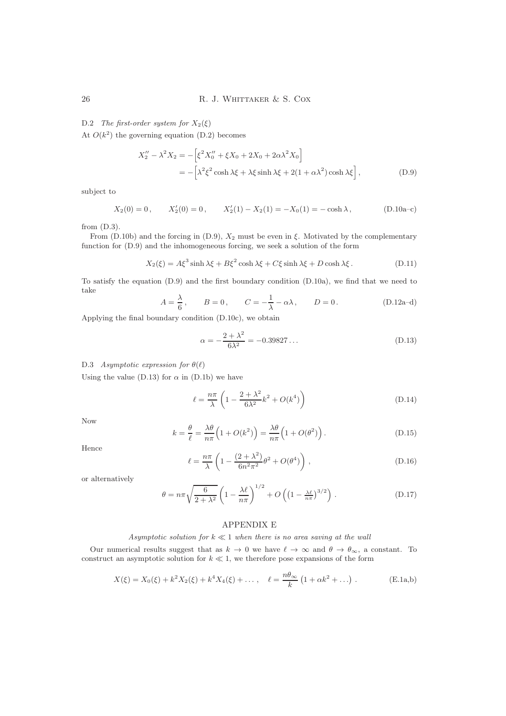# D.2 The first-order system for  $X_2(\xi)$

At  $O(k^2)$  the governing equation (D.2) becomes

$$
X_2'' - \lambda^2 X_2 = -\left[\xi^2 X_0'' + \xi X_0 + 2X_0 + 2\alpha \lambda^2 X_0\right]
$$
  
= -\left[\lambda^2 \xi^2 \cosh \lambda \xi + \lambda \xi \sinh \lambda \xi + 2(1 + \alpha \lambda^2) \cosh \lambda \xi\right], (D.9)

subject to

$$
X_2(0) = 0
$$
,  $X'_2(0) = 0$ ,  $X'_2(1) - X_2(1) = -X_0(1) = -\cosh \lambda$ , (D.10a-c)

from (D.3).

From (D.10b) and the forcing in (D.9),  $X_2$  must be even in  $\xi$ . Motivated by the complementary function for (D.9) and the inhomogeneous forcing, we seek a solution of the form

$$
X_2(\xi) = A\xi^3 \sinh \lambda \xi + B\xi^2 \cosh \lambda \xi + C\xi \sinh \lambda \xi + D \cosh \lambda \xi. \tag{D.11}
$$

To satisfy the equation (D.9) and the first boundary condition (D.10a), we find that we need to take

$$
A = \frac{\lambda}{6}, \qquad B = 0, \qquad C = -\frac{1}{\lambda} - \alpha \lambda, \qquad D = 0.
$$
 (D.12a-d)

Applying the final boundary condition (D.10c), we obtain

$$
\alpha = -\frac{2 + \lambda^2}{6\lambda^2} = -0.39827\ldots
$$
 (D.13)

# D.3 Asymptotic expression for  $\theta(\ell)$

Using the value (D.13) for  $\alpha$  in (D.1b) we have

$$
\ell = \frac{n\pi}{\lambda} \left( 1 - \frac{2 + \lambda^2}{6\lambda^2} k^2 + O(k^4) \right) \tag{D.14}
$$

Now

$$
k = \frac{\theta}{\ell} = \frac{\lambda \theta}{n\pi} \left( 1 + O(k^2) \right) = \frac{\lambda \theta}{n\pi} \left( 1 + O(\theta^2) \right). \tag{D.15}
$$

Hence

$$
\ell = \frac{n\pi}{\lambda} \left( 1 - \frac{(2+\lambda^2)}{6n^2 \pi^2} \theta^2 + O(\theta^4) \right), \tag{D.16}
$$

or alternatively

$$
\theta = n\pi \sqrt{\frac{6}{2+\lambda^2}} \left( 1 - \frac{\lambda \ell}{n\pi} \right)^{1/2} + O\left( \left( 1 - \frac{\lambda \ell}{n\pi} \right)^{3/2} \right). \tag{D.17}
$$

# APPENDIX E

# Asymptotic solution for  $k \ll 1$  when there is no area saving at the wall

Our numerical results suggest that as  $k \to 0$  we have  $\ell \to \infty$  and  $\theta \to \theta_{\infty}$ , a constant. To construct an asymptotic solution for  $k \ll 1$ , we therefore pose expansions of the form

$$
X(\xi) = X_0(\xi) + k^2 X_2(\xi) + k^4 X_4(\xi) + \dots, \quad \ell = \frac{n\theta_{\infty}}{k} \left( 1 + \alpha k^2 + \dots \right).
$$
 (E.1a,b)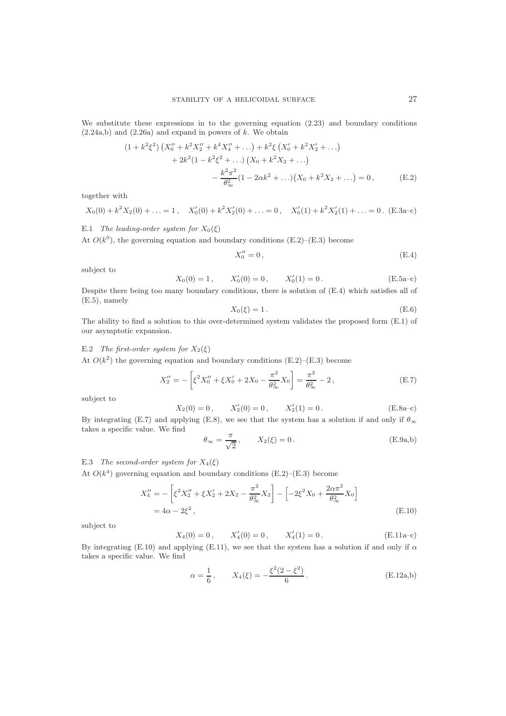We substitute these expressions in to the governing equation  $(2.23)$  and boundary conditions  $(2.24a,b)$  and  $(2.26a)$  and expand in powers of k. We obtain

$$
(1 + k^{2} \xi^{2}) \left( X_{0}'' + k^{2} X_{2}'' + k^{4} X_{4}'' + \ldots \right) + k^{2} \xi \left( X_{0}' + k^{2} X_{2}' + \ldots \right)
$$
  
+ 
$$
2k^{2} (1 - k^{2} \xi^{2} + \ldots) \left( X_{0} + k^{2} X_{2} + \ldots \right)
$$
  
- 
$$
\frac{k^{2} \pi^{2}}{\theta_{\infty}^{2}} (1 - 2 \alpha k^{2} + \ldots) \left( X_{0} + k^{2} X_{2} + \ldots \right) = 0, \qquad (E.2)
$$

together with

$$
X_0(0) + k^2 X_2(0) + \ldots = 1, \quad X'_0(0) + k^2 X'_2(0) + \ldots = 0, \quad X'_0(1) + k^2 X'_2(1) + \ldots = 0. \quad \text{(E.3a-c)}
$$

E.1 The leading-order system for  $X_0(\xi)$ 

At  $O(k^0)$ , the governing equation and boundary conditions (E.2)–(E.3) become

$$
X_0'' = 0, \t\t (E.4)
$$

subject to

$$
X_0(0) = 1
$$
,  $X'_0(0) = 0$ ,  $X'_0(1) = 0$ . (E.5a-c)

Despite there being too many boundary conditions, there is solution of (E.4) which satisfies all of (E.5), namely

$$
X_0(\xi) = 1.
$$
\n(E.6)

The ability to find a solution to this over-determined system validates the proposed form (E.1) of our asymptotic expansion.

E.2 The first-order system for  $X_2(\xi)$ 

At  $O(k^2)$  the governing equation and boundary conditions (E.2)–(E.3) become

$$
X_2'' = -\left[\xi^2 X_0'' + \xi X_0' + 2X_0 - \frac{\pi^2}{\theta_\infty^2} X_0\right] = \frac{\pi^2}{\theta_\infty^2} - 2\,,\tag{E.7}
$$

subject to

$$
X_2(0) = 0, \t X'_2(0) = 0, \t X'_2(1) = 0.
$$
 (E.8a-c)

By integrating (E.7) and applying (E.8), we see that the system has a solution if and only if  $\theta_{\infty}$ takes a specific value. We find

$$
\theta_{\infty} = \frac{\pi}{\sqrt{2}}, \qquad X_2(\xi) = 0.
$$
 (E.9a,b)

# E.3 The second-order system for  $X_4(\xi)$

At  $O(k^4)$  governing equation and boundary conditions (E.2)–(E.3) become

$$
X_4'' = -\left[\xi^2 X_2'' + \xi X_2' + 2X_2 - \frac{\pi^2}{\theta_{\infty}^2} X_2\right] - \left[-2\xi^2 X_0 + \frac{2\alpha \pi^2}{\theta_{\infty}^2} X_0\right]
$$
  
= 4\alpha - 2\xi^2, (E.10)

subject to

$$
X_4(0) = 0
$$
,  $X'_4(0) = 0$ ,  $X'_4(1) = 0$ . (E.11a-c)

By integrating (E.10) and applying (E.11), we see that the system has a solution if and only if  $\alpha$ takes a specific value. We find

$$
\alpha = \frac{1}{6}, \qquad X_4(\xi) = -\frac{\xi^2(2-\xi^2)}{6}.
$$
 (E.12a,b)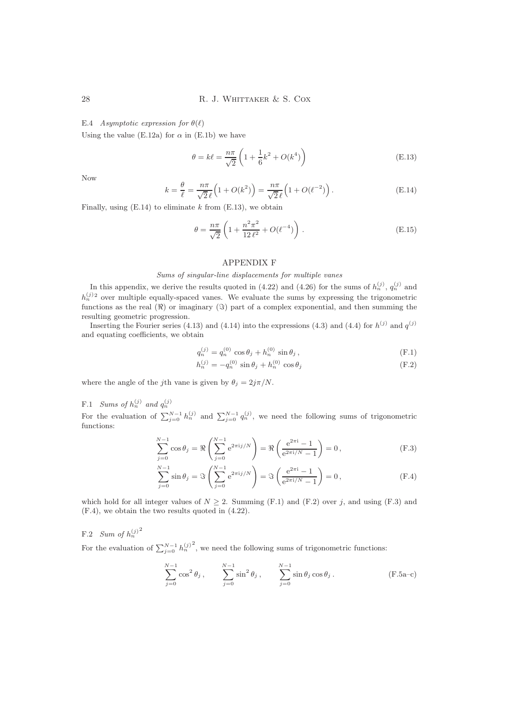### E.4 Asymptotic expression for  $\theta(\ell)$

Using the value (E.12a) for  $\alpha$  in (E.1b) we have

$$
\theta = k\ell = \frac{n\pi}{\sqrt{2}} \left( 1 + \frac{1}{6}k^2 + O(k^4) \right)
$$
 (E.13)

Now

$$
k = \frac{\theta}{\ell} = \frac{n\pi}{\sqrt{2}\ell} \left( 1 + O(k^2) \right) = \frac{n\pi}{\sqrt{2}\ell} \left( 1 + O(\ell^{-2}) \right). \tag{E.14}
$$

Finally, using  $(E.14)$  to eliminate k from  $(E.13)$ , we obtain

$$
\theta = \frac{n\pi}{\sqrt{2}} \left( 1 + \frac{n^2 \pi^2}{12 \ell^2} + O(\ell^{-4}) \right). \tag{E.15}
$$

# APPENDIX F

# Sums of singular-line displacements for multiple vanes

In this appendix, we derive the results quoted in (4.22) and (4.26) for the sums of  $h_n^{(j)}$ ,  $q_n^{(j)}$  and  $h_n^{(j)}$ <sup>2</sup> over multiple equally-spaced vanes. We evaluate the sums by expressing the trigonometric functions as the real  $(\Re)$  or imaginary  $(\Im)$  part of a complex exponential, and then summing the resulting geometric progression.

Inserting the Fourier series (4.13) and (4.14) into the expressions (4.3) and (4.4) for  $h^{(j)}$  and  $q^{(j)}$ and equating coefficients, we obtain

$$
q_n^{(j)} = q_n^{(0)} \cos \theta_j + h_n^{(0)} \sin \theta_j, \qquad (F.1)
$$

$$
h_n^{(j)} = -q_n^{(0)} \sin \theta_j + h_n^{(0)} \cos \theta_j \tag{F.2}
$$

where the angle of the jth vane is given by  $\theta_j = 2j\pi/N$ .

F.1 Sums of  $h_n^{(j)}$  and  $q_n^{(j)}$ 

For the evaluation of  $\sum_{j=0}^{N-1} h_n^{(j)}$  and  $\sum_{j=0}^{N-1} q_n^{(j)}$ , we need the following sums of trigonometric functions:

$$
\sum_{j=0}^{N-1} \cos \theta_j = \Re \left( \sum_{j=0}^{N-1} e^{2\pi i j/N} \right) = \Re \left( \frac{e^{2\pi i} - 1}{e^{2\pi i/N} - 1} \right) = 0,
$$
 (F.3)

$$
\sum_{j=0}^{N-1} \sin \theta_j = \Im \left( \sum_{j=0}^{N-1} e^{2\pi i j/N} \right) = \Im \left( \frac{e^{2\pi i} - 1}{e^{2\pi i/N} - 1} \right) = 0,
$$
 (F.4)

which hold for all integer values of  $N \geq 2$ . Summing (F.1) and (F.2) over j, and using (F.3) and (F.4), we obtain the two results quoted in (4.22).

# F.2 Sum of  $h_n^{(j)}$ <sup>2</sup>

For the evaluation of  $\sum_{j=0}^{N-1} h_n^{(j)}$ <sup>2</sup>, we need the following sums of trigonometric functions:

$$
\sum_{j=0}^{N-1} \cos^2 \theta_j , \qquad \sum_{j=0}^{N-1} \sin^2 \theta_j , \qquad \sum_{j=0}^{N-1} \sin \theta_j \cos \theta_j . \qquad (F.5a-c)
$$